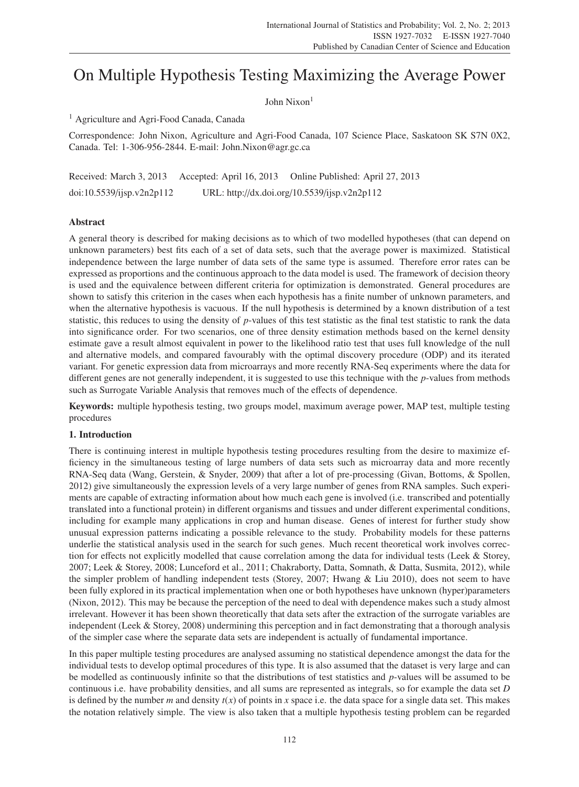# On Multiple Hypothesis Testing Maximizing the Average Power

John Nixon<sup>1</sup>

<sup>1</sup> Agriculture and Agri-Food Canada, Canada

Correspondence: John Nixon, Agriculture and Agri-Food Canada, 107 Science Place, Saskatoon SK S7N 0X2, Canada. Tel: 1-306-956-2844. E-mail: John.Nixon@agr.gc.ca

Received: March 3, 2013 Accepted: April 16, 2013 Online Published: April 27, 2013 doi:10.5539/ijsp.v2n2p112 URL: http://dx.doi.org/10.5539/ijsp.v2n2p112

# Abstract

A general theory is described for making decisions as to which of two modelled hypotheses (that can depend on unknown parameters) best fits each of a set of data sets, such that the average power is maximized. Statistical independence between the large number of data sets of the same type is assumed. Therefore error rates can be expressed as proportions and the continuous approach to the data model is used. The framework of decision theory is used and the equivalence between different criteria for optimization is demonstrated. General procedures are shown to satisfy this criterion in the cases when each hypothesis has a finite number of unknown parameters, and when the alternative hypothesis is vacuous. If the null hypothesis is determined by a known distribution of a test statistic, this reduces to using the density of *p*-values of this test statistic as the final test statistic to rank the data into significance order. For two scenarios, one of three density estimation methods based on the kernel density estimate gave a result almost equivalent in power to the likelihood ratio test that uses full knowledge of the null and alternative models, and compared favourably with the optimal discovery procedure (ODP) and its iterated variant. For genetic expression data from microarrays and more recently RNA-Seq experiments where the data for different genes are not generally independent, it is suggested to use this technique with the *p*-values from methods such as Surrogate Variable Analysis that removes much of the effects of dependence.

Keywords: multiple hypothesis testing, two groups model, maximum average power, MAP test, multiple testing procedures

# 1. Introduction

There is continuing interest in multiple hypothesis testing procedures resulting from the desire to maximize efficiency in the simultaneous testing of large numbers of data sets such as microarray data and more recently RNA-Seq data (Wang, Gerstein, & Snyder, 2009) that after a lot of pre-processing (Givan, Bottoms, & Spollen, 2012) give simultaneously the expression levels of a very large number of genes from RNA samples. Such experiments are capable of extracting information about how much each gene is involved (i.e. transcribed and potentially translated into a functional protein) in different organisms and tissues and under different experimental conditions, including for example many applications in crop and human disease. Genes of interest for further study show unusual expression patterns indicating a possible relevance to the study. Probability models for these patterns underlie the statistical analysis used in the search for such genes. Much recent theoretical work involves correction for effects not explicitly modelled that cause correlation among the data for individual tests (Leek & Storey, 2007; Leek & Storey, 2008; Lunceford et al., 2011; Chakraborty, Datta, Somnath, & Datta, Susmita, 2012), while the simpler problem of handling independent tests (Storey, 2007; Hwang & Liu 2010), does not seem to have been fully explored in its practical implementation when one or both hypotheses have unknown (hyper)parameters (Nixon, 2012). This may be because the perception of the need to deal with dependence makes such a study almost irrelevant. However it has been shown theoretically that data sets after the extraction of the surrogate variables are independent (Leek & Storey, 2008) undermining this perception and in fact demonstrating that a thorough analysis of the simpler case where the separate data sets are independent is actually of fundamental importance.

In this paper multiple testing procedures are analysed assuming no statistical dependence amongst the data for the individual tests to develop optimal procedures of this type. It is also assumed that the dataset is very large and can be modelled as continuously infinite so that the distributions of test statistics and *p*-values will be assumed to be continuous i.e. have probability densities, and all sums are represented as integrals, so for example the data set *D* is defined by the number *m* and density  $t(x)$  of points in *x* space i.e. the data space for a single data set. This makes the notation relatively simple. The view is also taken that a multiple hypothesis testing problem can be regarded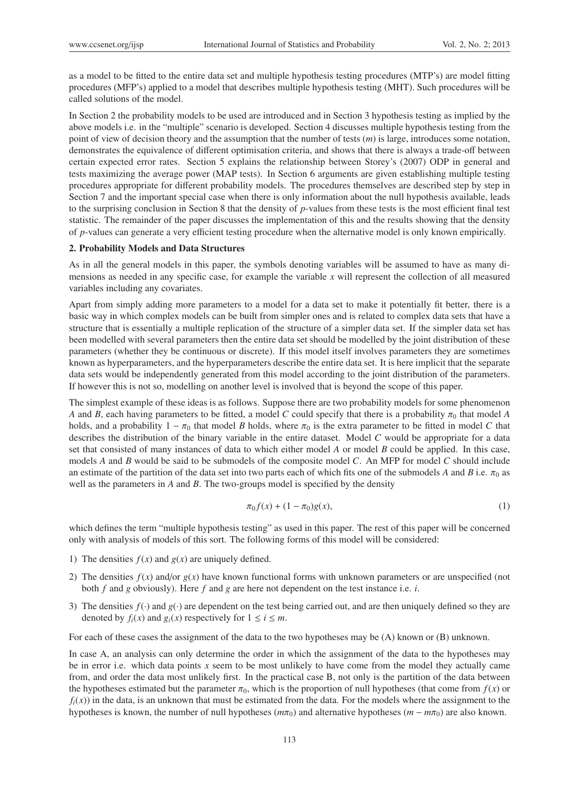as a model to be fitted to the entire data set and multiple hypothesis testing procedures (MTP's) are model fitting procedures (MFP's) applied to a model that describes multiple hypothesis testing (MHT). Such procedures will be called solutions of the model.

In Section 2 the probability models to be used are introduced and in Section 3 hypothesis testing as implied by the above models i.e. in the "multiple" scenario is developed. Section 4 discusses multiple hypothesis testing from the point of view of decision theory and the assumption that the number of tests (*m*) is large, introduces some notation, demonstrates the equivalence of different optimisation criteria, and shows that there is always a trade-off between certain expected error rates. Section 5 explains the relationship between Storey's (2007) ODP in general and tests maximizing the average power (MAP tests). In Section 6 arguments are given establishing multiple testing procedures appropriate for different probability models. The procedures themselves are described step by step in Section 7 and the important special case when there is only information about the null hypothesis available, leads to the surprising conclusion in Section 8 that the density of *p*-values from these tests is the most efficient final test statistic. The remainder of the paper discusses the implementation of this and the results showing that the density of *p*-values can generate a very efficient testing procedure when the alternative model is only known empirically.

## 2. Probability Models and Data Structures

As in all the general models in this paper, the symbols denoting variables will be assumed to have as many dimensions as needed in any specific case, for example the variable *x* will represent the collection of all measured variables including any covariates.

Apart from simply adding more parameters to a model for a data set to make it potentially fit better, there is a basic way in which complex models can be built from simpler ones and is related to complex data sets that have a structure that is essentially a multiple replication of the structure of a simpler data set. If the simpler data set has been modelled with several parameters then the entire data set should be modelled by the joint distribution of these parameters (whether they be continuous or discrete). If this model itself involves parameters they are sometimes known as hyperparameters, and the hyperparameters describe the entire data set. It is here implicit that the separate data sets would be independently generated from this model according to the joint distribution of the parameters. If however this is not so, modelling on another level is involved that is beyond the scope of this paper.

The simplest example of these ideas is as follows. Suppose there are two probability models for some phenomenon *A* and *B*, each having parameters to be fitted, a model *C* could specify that there is a probability  $\pi_0$  that model *A* holds, and a probability  $1 - \pi_0$  that model *B* holds, where  $\pi_0$  is the extra parameter to be fitted in model *C* that describes the distribution of the binary variable in the entire dataset. Model *C* would be appropriate for a data set that consisted of many instances of data to which either model *A* or model *B* could be applied. In this case, models *A* and *B* would be said to be submodels of the composite model *C*. An MFP for model *C* should include an estimate of the partition of the data set into two parts each of which fits one of the submodels *A* and *B* i.e.  $\pi_0$  as well as the parameters in *A* and *B*. The two-groups model is specified by the density

$$
\pi_0 f(x) + (1 - \pi_0) g(x), \tag{1}
$$

which defines the term "multiple hypothesis testing" as used in this paper. The rest of this paper will be concerned only with analysis of models of this sort. The following forms of this model will be considered:

- 1) The densities  $f(x)$  and  $g(x)$  are uniquely defined.
- 2) The densities  $f(x)$  and/or  $g(x)$  have known functional forms with unknown parameters or are unspecified (not both *f* and *g* obviously). Here *f* and *g* are here not dependent on the test instance i.e. *i*.
- 3) The densities  $f(\cdot)$  and  $g(\cdot)$  are dependent on the test being carried out, and are then uniquely defined so they are denoted by  $f_i(x)$  and  $g_i(x)$  respectively for  $1 \le i \le m$ .

For each of these cases the assignment of the data to the two hypotheses may be (A) known or (B) unknown.

In case A, an analysis can only determine the order in which the assignment of the data to the hypotheses may be in error i.e. which data points *x* seem to be most unlikely to have come from the model they actually came from, and order the data most unlikely first. In the practical case B, not only is the partition of the data between the hypotheses estimated but the parameter  $\pi_0$ , which is the proportion of null hypotheses (that come from  $f(x)$  or  $f_i(x)$ ) in the data, is an unknown that must be estimated from the data. For the models where the assignment to the hypotheses is known, the number of null hypotheses ( $m\pi_0$ ) and alternative hypotheses ( $m - m\pi_0$ ) are also known.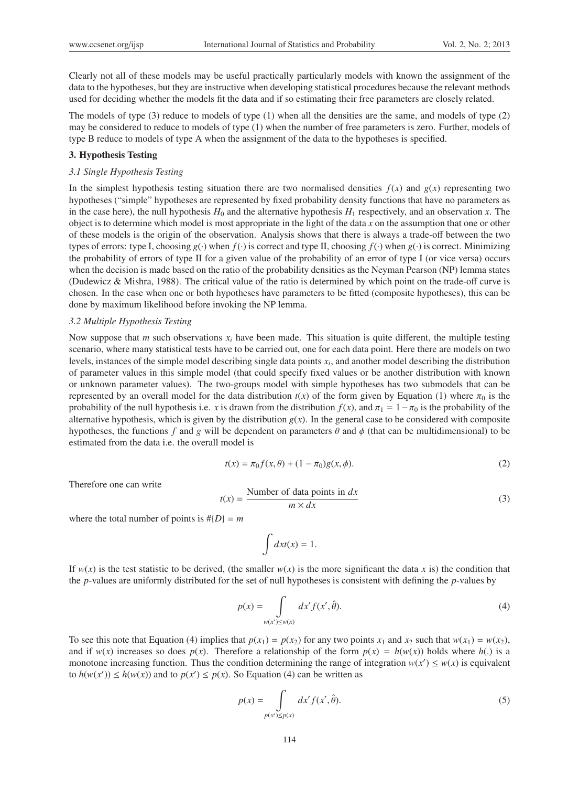Clearly not all of these models may be useful practically particularly models with known the assignment of the data to the hypotheses, but they are instructive when developing statistical procedures because the relevant methods used for deciding whether the models fit the data and if so estimating their free parameters are closely related.

The models of type (3) reduce to models of type (1) when all the densities are the same, and models of type (2) may be considered to reduce to models of type (1) when the number of free parameters is zero. Further, models of type B reduce to models of type A when the assignment of the data to the hypotheses is specified.

## 3. Hypothesis Testing

## *3.1 Single Hypothesis Testing*

In the simplest hypothesis testing situation there are two normalised densities  $f(x)$  and  $g(x)$  representing two hypotheses ("simple" hypotheses are represented by fixed probability density functions that have no parameters as in the case here), the null hypothesis  $H_0$  and the alternative hypothesis  $H_1$  respectively, and an observation *x*. The object is to determine which model is most appropriate in the light of the data *x* on the assumption that one or other of these models is the origin of the observation. Analysis shows that there is always a trade-off between the two types of errors: type I, choosing  $g(\cdot)$  when  $f(\cdot)$  is correct and type II, choosing  $f(\cdot)$  when  $g(\cdot)$  is correct. Minimizing the probability of errors of type II for a given value of the probability of an error of type I (or vice versa) occurs when the decision is made based on the ratio of the probability densities as the Neyman Pearson (NP) lemma states (Dudewicz & Mishra, 1988). The critical value of the ratio is determined by which point on the trade-off curve is chosen. In the case when one or both hypotheses have parameters to be fitted (composite hypotheses), this can be done by maximum likelihood before invoking the NP lemma.

#### *3.2 Multiple Hypothesis Testing*

Now suppose that *m* such observations *xi* have been made. This situation is quite different, the multiple testing scenario, where many statistical tests have to be carried out, one for each data point. Here there are models on two levels, instances of the simple model describing single data points *xi*, and another model describing the distribution of parameter values in this simple model (that could specify fixed values or be another distribution with known or unknown parameter values). The two-groups model with simple hypotheses has two submodels that can be represented by an overall model for the data distribution  $t(x)$  of the form given by Equation (1) where  $\pi_0$  is the probability of the null hypothesis i.e. *x* is drawn from the distribution  $f(x)$ , and  $\pi_1 = 1 - \pi_0$  is the probability of the alternative hypothesis, which is given by the distribution  $g(x)$ . In the general case to be considered with composite hypotheses, the functions *f* and *g* will be dependent on parameters  $\theta$  and  $\phi$  (that can be multidimensional) to be estimated from the data i.e. the overall model is

$$
t(x) = \pi_0 f(x, \theta) + (1 - \pi_0)g(x, \phi).
$$
 (2)

Therefore one can write

$$
t(x) = \frac{\text{Number of data points in } dx}{m \times dx}
$$
 (3)

where the total number of points is  $#{D} = m$ 

$$
\int dx t(x) = 1.
$$

If  $w(x)$  is the test statistic to be derived, (the smaller  $w(x)$  is the more significant the data *x* is) the condition that the *p*-values are uniformly distributed for the set of null hypotheses is consistent with defining the *p*-values by

$$
p(x) = \int_{w(x') \le w(x)} dx' f(x', \hat{\theta}).
$$
\n(4)

To see this note that Equation (4) implies that  $p(x_1) = p(x_2)$  for any two points  $x_1$  and  $x_2$  such that  $w(x_1) = w(x_2)$ , and if  $w(x)$  increases so does  $p(x)$ . Therefore a relationship of the form  $p(x) = h(w(x))$  holds where  $h(.)$  is a monotone increasing function. Thus the condition determining the range of integration  $w(x') \leq w(x)$  is equivalent to  $h(w(x')) \le h(w(x))$  and to  $p(x') \le p(x)$ . So Equation (4) can be written as

$$
p(x) = \int\limits_{p(x') \le p(x)} dx' f(x', \hat{\theta}).
$$
\n(5)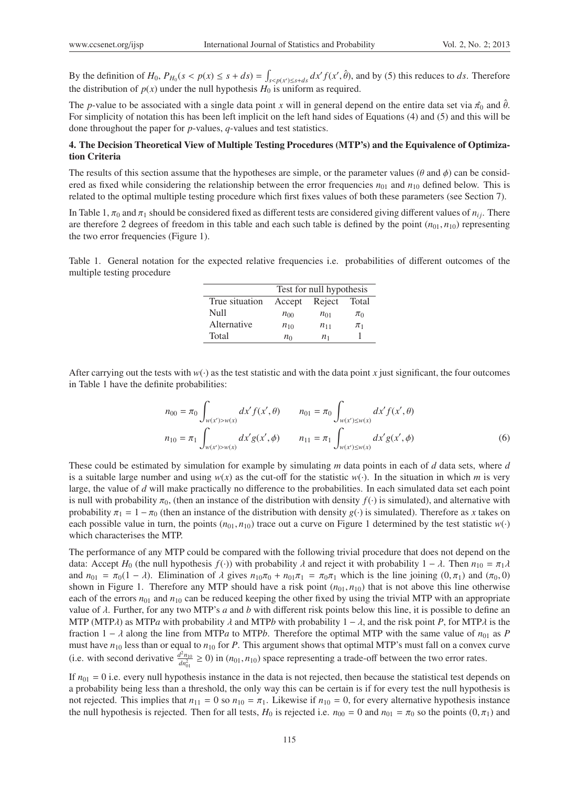By the definition of  $H_0$ ,  $P_{H_0}(s < p(x) \leq s + ds) = \int_{s < p(x') \leq s + ds} dx' f(x', \hat{\theta})$ , and by (5) this reduces to ds. Therefore the distribution of  $p(x)$  under the null hypothesis  $H_0$  is uniform as required.

The *p*-value to be associated with a single data point *x* will in general depend on the entire data set via  $\hat{\pi}_0$  and  $\hat{\theta}$ . For simplicity of notation this has been left implicit on the left hand sides of Equations (4) and (5) and this will be done throughout the paper for *p*-values, *q*-values and test statistics.

# 4. The Decision Theoretical View of Multiple Testing Procedures (MTP's) and the Equivalence of Optimization Criteria

The results of this section assume that the hypotheses are simple, or the parameter values ( $\theta$  and  $\phi$ ) can be considered as fixed while considering the relationship between the error frequencies  $n_{01}$  and  $n_{10}$  defined below. This is related to the optimal multiple testing procedure which first fixes values of both these parameters (see Section 7).

In Table 1,  $\pi_0$  and  $\pi_1$  should be considered fixed as different tests are considered giving different values of  $n_{ij}$ . There are therefore 2 degrees of freedom in this table and each such table is defined by the point  $(n_{01}, n_{10})$  representing the two error frequencies (Figure 1).

Table 1. General notation for the expected relative frequencies i.e. probabilities of different outcomes of the multiple testing procedure

|                | Test for null hypothesis |                |         |  |
|----------------|--------------------------|----------------|---------|--|
| True situation | Accept                   | Reject         | Total   |  |
| Null           | $n_{00}$                 | $n_{01}$       | $\pi_0$ |  |
| Alternative    | $n_{10}$                 | $n_{11}$       | $\pi_1$ |  |
| Total          | $n_0$                    | n <sub>1</sub> |         |  |

After carrying out the tests with  $w(\cdot)$  as the test statistic and with the data point *x* just significant, the four outcomes in Table 1 have the definite probabilities:

$$
n_{00} = \pi_0 \int_{w(x') > w(x)} dx' f(x', \theta) \qquad n_{01} = \pi_0 \int_{w(x') \le w(x)} dx' f(x', \theta)
$$

$$
n_{10} = \pi_1 \int_{w(x') > w(x)} dx' g(x', \phi) \qquad n_{11} = \pi_1 \int_{w(x') \le w(x)} dx' g(x', \phi) \qquad (6)
$$

These could be estimated by simulation for example by simulating *m* data points in each of *d* data sets, where *d* is a suitable large number and using  $w(x)$  as the cut-off for the statistic  $w(\cdot)$ . In the situation in which *m* is very large, the value of *d* will make practically no difference to the probabilities. In each simulated data set each point is null with probability  $\pi_0$ , (then an instance of the distribution with density  $f(\cdot)$  is simulated), and alternative with probability  $\pi_1 = 1 - \pi_0$  (then an instance of the distribution with density  $g(\cdot)$  is simulated). Therefore as *x* takes on each possible value in turn, the points  $(n_{01}, n_{10})$  trace out a curve on Figure 1 determined by the test statistic  $w(\cdot)$ which characterises the MTP.

The performance of any MTP could be compared with the following trivial procedure that does not depend on the data: Accept *H*<sub>0</sub> (the null hypothesis *f*(·)) with probability  $\lambda$  and reject it with probability  $1 - \lambda$ . Then  $n_{10} = \pi_1 \lambda$ and  $n_{01} = \pi_0(1 - \lambda)$ . Elimination of  $\lambda$  gives  $n_{10}\pi_0 + n_{01}\pi_1 = \pi_0\pi_1$  which is the line joining  $(0, \pi_1)$  and  $(\pi_0, 0)$ shown in Figure 1. Therefore any MTP should have a risk point  $(n_{01}, n_{10})$  that is not above this line otherwise each of the errors  $n_{01}$  and  $n_{10}$  can be reduced keeping the other fixed by using the trivial MTP with an appropriate value of  $\lambda$ . Further, for any two MTP's  $a$  and  $b$  with different risk points below this line, it is possible to define an MTP (MTP $\lambda$ ) as MTP*a* with probability  $\lambda$  and MTP*b* with probability  $1 - \lambda$ , and the risk point P, for MTP $\lambda$  is the fraction  $1 - \lambda$  along the line from MTP*a* to MTP*b*. Therefore the optimal MTP with the same value of  $n_{01}$  as P must have *n*<sup>10</sup> less than or equal to *n*<sup>10</sup> for *P*. This argument shows that optimal MTP's must fall on a convex curve (i.e. with second derivative  $\frac{d^2 n_{10}}{dn_{01}^2} \ge 0$ ) in  $(n_{01}, n_{10})$  space representing a trade-off between the two error rates.

If  $n_{01} = 0$  i.e. every null hypothesis instance in the data is not rejected, then because the statistical test depends on a probability being less than a threshold, the only way this can be certain is if for every test the null hypothesis is not rejected. This implies that  $n_{11} = 0$  so  $n_{10} = \pi_1$ . Likewise if  $n_{10} = 0$ , for every alternative hypothesis instance the null hypothesis is rejected. Then for all tests,  $H_0$  is rejected i.e.  $n_{00} = 0$  and  $n_{01} = \pi_0$  so the points  $(0, \pi_1)$  and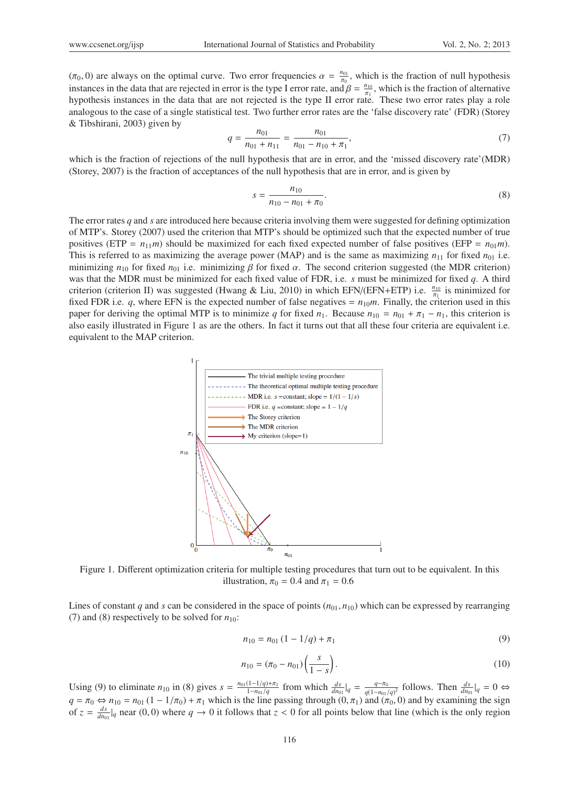$(\pi_0, 0)$  are always on the optimal curve. Two error frequencies  $\alpha = \frac{n_{01}}{\pi_0}$ , which is the fraction of null hypothesis instances in the data that are rejected in error is the type I error rate, and  $\beta = \frac{n_{10}}{\pi_1}$ , which is the fraction of alternative hypothesis instances in the data that are not rejected is the type II error rate. These two error rates play a role analogous to the case of a single statistical test. Two further error rates are the 'false discovery rate' (FDR) (Storey & Tibshirani, 2003) given by

$$
q = \frac{n_{01}}{n_{01} + n_{11}} = \frac{n_{01}}{n_{01} - n_{10} + \pi_1},\tag{7}
$$

which is the fraction of rejections of the null hypothesis that are in error, and the 'missed discovery rate'(MDR) (Storey, 2007) is the fraction of acceptances of the null hypothesis that are in error, and is given by

$$
s = \frac{n_{10}}{n_{10} - n_{01} + \pi_0}.\tag{8}
$$

The error rates *q* and *s* are introduced here because criteria involving them were suggested for defining optimization of MTP's. Storey (2007) used the criterion that MTP's should be optimized such that the expected number of true positives (ETP =  $n_{11}$ *m*) should be maximized for each fixed expected number of false positives (EFP =  $n_{01}$ *m*). This is referred to as maximizing the average power (MAP) and is the same as maximizing  $n_{11}$  for fixed  $n_{01}$  i.e. minimizing  $n_{10}$  for fixed  $n_{01}$  i.e. minimizing  $\beta$  for fixed  $\alpha$ . The second criterion suggested (the MDR criterion) was that the MDR must be minimized for each fixed value of FDR, i.e. *s* must be minimized for fixed *q*. A third criterion (criterion II) was suggested (Hwang & Liu, 2010) in which EFN/(EFN+ETP) i.e.  $\frac{n_{10}}{\pi_1}$  is minimized for fixed FDR i.e.  $q$ , where EFN is the expected number of false negatives =  $n_{10}m$ . Finally, the criterion used in this paper for deriving the optimal MTP is to minimize *q* for fixed  $n_1$ . Because  $n_{10} = n_{01} + \pi_1 - n_1$ , this criterion is also easily illustrated in Figure 1 as are the others. In fact it turns out that all these four criteria are equivalent i.e. equivalent to the MAP criterion.



Figure 1. Different optimization criteria for multiple testing procedures that turn out to be equivalent. In this illustration,  $\pi_0 = 0.4$  and  $\pi_1 = 0.6$ 

Lines of constant *q* and *s* can be considered in the space of points  $(n_{01}, n_{10})$  which can be expressed by rearranging (7) and (8) respectively to be solved for  $n_{10}$ :

$$
n_{10} = n_{01} (1 - 1/q) + \pi_1 \tag{9}
$$

$$
n_{10} = (\pi_0 - n_{01}) \left(\frac{s}{1 - s}\right). \tag{10}
$$

Using (9) to eliminate  $n_{10}$  in (8) gives  $s = \frac{n_{01}(1-1/q)+\pi_1}{1-n_{01}/q}$  from which  $\frac{ds}{dn_{01}}|_q = \frac{q-\pi_0}{q(1-n_{01}/q)^2}$  follows. Then  $\frac{ds}{dn_{01}}|_q = 0 \Leftrightarrow$  $q = \pi_0 \Leftrightarrow n_{10} = n_{01} (1 - 1/\pi_0) + \pi_1$  which is the line passing through  $(0, \pi_1)$  and  $(\pi_0, 0)$  and by examining the sign of  $z = \frac{ds}{dn_{01}}|_q$  near (0, 0) where  $q \to 0$  it follows that  $z < 0$  for all points below that line (which is the only region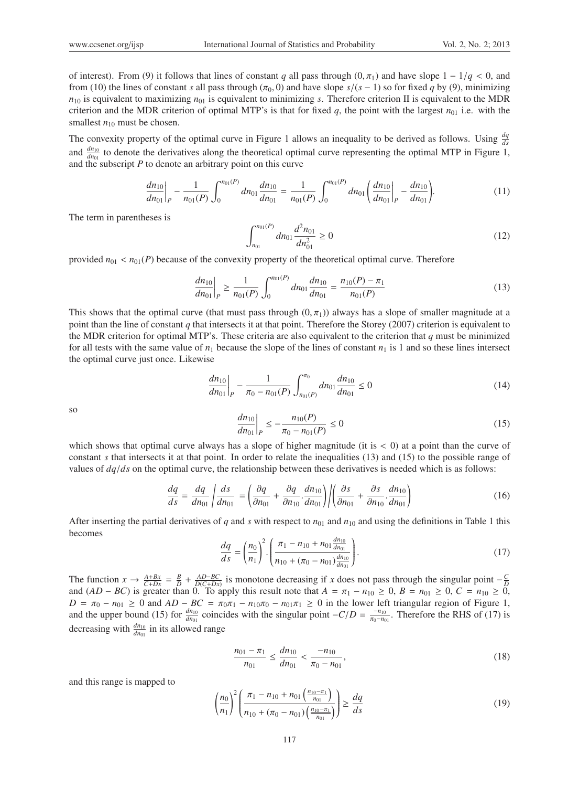of interest). From (9) it follows that lines of constant *q* all pass through  $(0, \pi_1)$  and have slope  $1 - 1/q < 0$ , and from (10) the lines of constant *s* all pass through ( $\pi_0$ , 0) and have slope  $s/(s-1)$  so for fixed q by (9), minimizing  $n_{10}$  is equivalent to maximizing  $n_{01}$  is equivalent to minimizing *s*. Therefore criterion II is equivalent to the MDR criterion and the MDR criterion of optimal MTP's is that for fixed  $q$ , the point with the largest  $n_{01}$  i.e. with the smallest  $n_{10}$  must be chosen.

The convexity property of the optimal curve in Figure 1 allows an inequality to be derived as follows. Using  $\frac{dq}{ds}$ and  $\frac{dn_{10}}{dn_{01}}$  to denote the derivatives along the theoretical optimal curve representing the optimal MTP in Figure 1, and the subscript *P* to denote an arbitrary point on this curve

$$
\left. \frac{dn_{10}}{dn_{01}} \right|_P - \frac{1}{n_{01}(P)} \int_0^{n_{01}(P)} dn_{01} \frac{dn_{10}}{dn_{01}} = \frac{1}{n_{01}(P)} \int_0^{n_{01}(P)} dn_{01} \left( \frac{dn_{10}}{dn_{01}} \right|_P - \frac{dn_{10}}{dn_{01}}.
$$
 (11)

The term in parentheses is

$$
\int_{n_{01}}^{n_{01}(P)} dn_{01} \frac{d^2 n_{01}}{d n_{01}^2} \ge 0
$$
\n(12)

provided  $n_{01} < n_{01}(P)$  because of the convexity property of the theoretical optimal curve. Therefore

$$
\left. \frac{dn_{10}}{dn_{01}} \right|_P \ge \frac{1}{n_{01}(P)} \int_0^{n_{01}(P)} dn_{01} \frac{dn_{10}}{dn_{01}} = \frac{n_{10}(P) - \pi_1}{n_{01}(P)} \tag{13}
$$

This shows that the optimal curve (that must pass through  $(0, \pi_1)$ ) always has a slope of smaller magnitude at a point than the line of constant *q* that intersects it at that point. Therefore the Storey (2007) criterion is equivalent to the MDR criterion for optimal MTP's. These criteria are also equivalent to the criterion that  $q$  must be minimized for all tests with the same value of  $n_1$  because the slope of the lines of constant  $n_1$  is 1 and so these lines intersect the optimal curve just once. Likewise

$$
\left. \frac{dn_{10}}{dn_{01}} \right|_P - \frac{1}{\pi_0 - n_{01}(P)} \int_{n_{01}(P)}^{\pi_0} dn_{01} \frac{dn_{10}}{dn_{01}} \le 0 \tag{14}
$$

so

$$
\left. \frac{dn_{10}}{dn_{01}} \right|_P \le -\frac{n_{10}(P)}{\pi_0 - n_{01}(P)} \le 0 \tag{15}
$$

which shows that optimal curve always has a slope of higher magnitude (it is  $< 0$ ) at a point than the curve of constant *s* that intersects it at that point. In order to relate the inequalities (13) and (15) to the possible range of values of *dq*/*ds* on the optimal curve, the relationship between these derivatives is needed which is as follows:

$$
\frac{dq}{ds} = \frac{dq}{dn_{01}} \left| \frac{ds}{dn_{01}} \right| = \left( \frac{\partial q}{\partial n_{01}} + \frac{\partial q}{\partial n_{10}} \cdot \frac{dn_{10}}{dn_{01}} \right) \left| \left( \frac{\partial s}{\partial n_{01}} + \frac{\partial s}{\partial n_{10}} \cdot \frac{dn_{10}}{dn_{01}} \right) \right| \tag{16}
$$

After inserting the partial derivatives of  $q$  and  $s$  with respect to  $n_{01}$  and  $n_{10}$  and using the definitions in Table 1 this becomes

$$
\frac{dq}{ds} = \left(\frac{n_0}{n_1}\right)^2 \cdot \left(\frac{\pi_1 - n_{10} + n_{01} \frac{dn_{10}}{dn_{01}}}{n_{10} + (\pi_0 - n_{01}) \frac{dn_{10}}{dn_{01}}}\right). \tag{17}
$$

The function  $x \to \frac{A+Bx}{C+Dx} = \frac{B}{D} + \frac{AD-BC}{D(C+Dx)}$  is monotone decreasing if x does not pass through the singular point  $-\frac{C}{D}$  and  $(AD - BC)$  is greater than 0. To apply this result note that  $A = \pi_1 - n_{10} \ge 0$ ,  $B = n_{01$  $D = \pi_0 - n_{01} \ge 0$  and  $AD - BC = \pi_0 \pi_1 - n_{10} \pi_0 - n_{01} \pi_1 \ge 0$  in the lower left triangular region of Figure 1, and the upper bound (15) for  $\frac{dn_{10}}{dn_{01}}$  coincides with the singular point  $-C/D = \frac{-n_{10}}{\pi_0 - n_{01}}$ . Therefore the RHS of (17) is decreasing with  $\frac{dn_{10}}{dn_{01}}$  in its allowed range

$$
\frac{n_{01} - \pi_1}{n_{01}} \le \frac{dn_{10}}{dn_{01}} < \frac{-n_{10}}{\pi_0 - n_{01}},\tag{18}
$$

and this range is mapped to

$$
\left(\frac{n_0}{n_1}\right)^2 \left(\frac{\pi_1 - n_{10} + n_{01}\left(\frac{n_{10} - \pi_1}{n_{01}}\right)}{n_{10} + (\pi_0 - n_{01})\left(\frac{n_{10} - \pi_1}{n_{01}}\right)}\right) \ge \frac{dq}{ds} \tag{19}
$$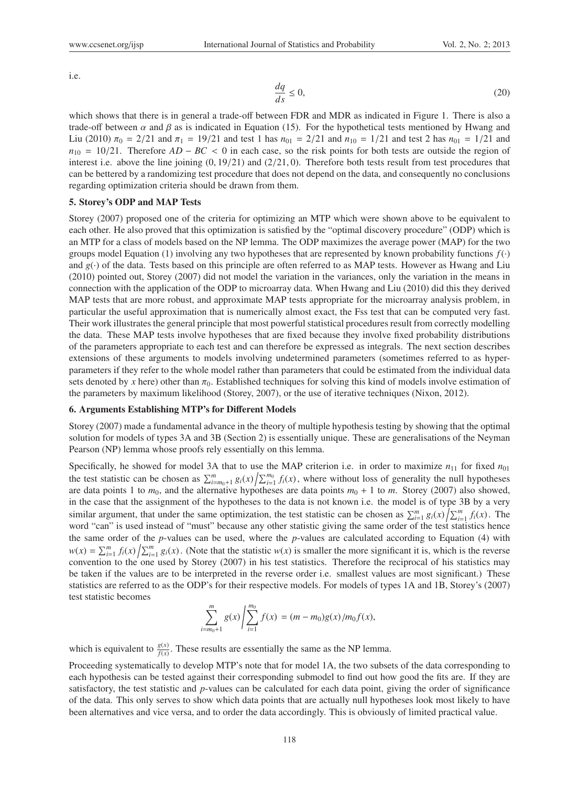i.e.

$$
\frac{dq}{ds} \le 0,\tag{20}
$$

which shows that there is in general a trade-off between FDR and MDR as indicated in Figure 1. There is also a trade-off between  $\alpha$  and  $\beta$  as is indicated in Equation (15). For the hypothetical tests mentioned by Hwang and Liu (2010)  $\pi_0 = 2/21$  and  $\pi_1 = 19/21$  and test 1 has  $n_{01} = 2/21$  and  $n_{10} = 1/21$  and test 2 has  $n_{01} = 1/21$  and  $n_{10} = 10/21$ . Therefore *AD* − *BC* < 0 in each case, so the risk points for both tests are outside the region of interest i.e. above the line joining  $(0, 19/21)$  and  $(2/21, 0)$ . Therefore both tests result from test procedures that can be bettered by a randomizing test procedure that does not depend on the data, and consequently no conclusions regarding optimization criteria should be drawn from them.

# 5. Storey's ODP and MAP Tests

Storey (2007) proposed one of the criteria for optimizing an MTP which were shown above to be equivalent to each other. He also proved that this optimization is satisfied by the "optimal discovery procedure" (ODP) which is an MTP for a class of models based on the NP lemma. The ODP maximizes the average power (MAP) for the two groups model Equation (1) involving any two hypotheses that are represented by known probability functions  $f(\cdot)$ and *g*(·) of the data. Tests based on this principle are often referred to as MAP tests. However as Hwang and Liu (2010) pointed out, Storey (2007) did not model the variation in the variances, only the variation in the means in connection with the application of the ODP to microarray data. When Hwang and Liu (2010) did this they derived MAP tests that are more robust, and approximate MAP tests appropriate for the microarray analysis problem, in particular the useful approximation that is numerically almost exact, the Fss test that can be computed very fast. Their work illustrates the general principle that most powerful statistical procedures result from correctly modelling the data. These MAP tests involve hypotheses that are fixed because they involve fixed probability distributions of the parameters appropriate to each test and can therefore be expressed as integrals. The next section describes extensions of these arguments to models involving undetermined parameters (sometimes referred to as hyperparameters if they refer to the whole model rather than parameters that could be estimated from the individual data sets denoted by *x* here) other than  $\pi_0$ . Established techniques for solving this kind of models involve estimation of the parameters by maximum likelihood (Storey, 2007), or the use of iterative techniques (Nixon, 2012).

#### 6. Arguments Establishing MTP's for Different Models

Storey (2007) made a fundamental advance in the theory of multiple hypothesis testing by showing that the optimal solution for models of types 3A and 3B (Section 2) is essentially unique. These are generalisations of the Neyman Pearson (NP) lemma whose proofs rely essentially on this lemma.

Specifically, he showed for model 3A that to use the MAP criterion i.e. in order to maximize  $n_{11}$  for fixed  $n_{01}$ the test statistic can be chosen as  $\sum_{i=m_0+1}^{m} g_i(x) / \sum_{i=1}^{m_0} f_i(x)$ , where without loss of generality the null hypotheses are data points 1 to  $m_0$ , and the alternative hypotheses are data points  $m_0 + 1$  to  $m$ . Storey (2007) also showed, in the case that the assignment of the hypotheses to the data is not known i.e. the model is of type 3B by a very similar argument, that under the same optimization, the test statistic can be chosen as  $\sum_{i=1}^{m} g_i(x) / \sum_{i=1}^{m} f_i(x)$ . The word "can" is used instead of "must" because any other statistic giving the same order of the test statistics hence the same order of the *p*-values can be used, where the *p*-values are calculated according to Equation (4) with  $w(x) = \sum_{i=1}^{m} f_i(x) / \sum_{i=1}^{m} g_i(x)$ . (Note that the statistic  $w(x)$  is smaller the more significant it is, which is the reverse convention to the one used by Storey (2007) in his test statistics. Therefore the reciprocal of his statistics may be taken if the values are to be interpreted in the reverse order i.e. smallest values are most significant.) These statistics are referred to as the ODP's for their respective models. For models of types 1A and 1B, Storey's (2007) test statistic becomes

$$
\sum_{i=m_0+1}^m g(x) / \sum_{i=1}^{m_0} f(x) = (m-m_0)g(x) / m_0 f(x),
$$

which is equivalent to  $\frac{g(x)}{f(x)}$ . These results are essentially the same as the NP lemma.

Proceeding systematically to develop MTP's note that for model 1A, the two subsets of the data corresponding to each hypothesis can be tested against their corresponding submodel to find out how good the fits are. If they are satisfactory, the test statistic and *p*-values can be calculated for each data point, giving the order of significance of the data. This only serves to show which data points that are actually null hypotheses look most likely to have been alternatives and vice versa, and to order the data accordingly. This is obviously of limited practical value.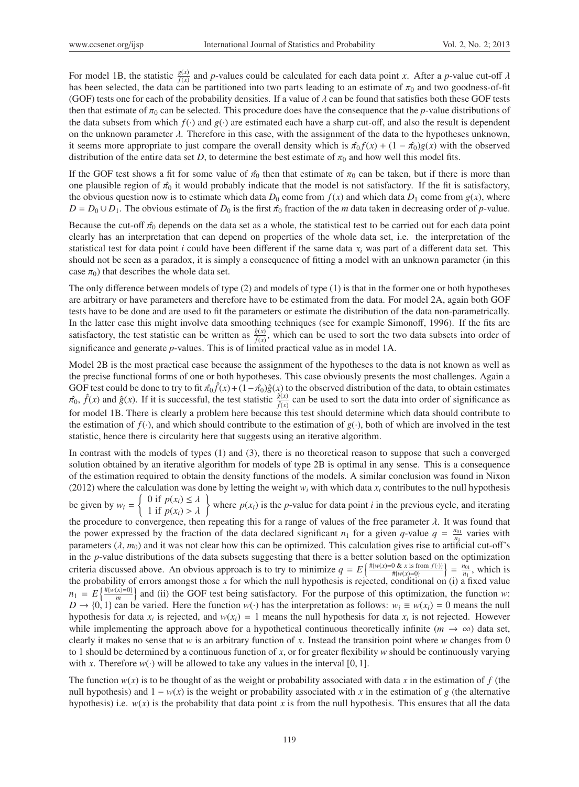For model 1B, the statistic  $\frac{g(x)}{f(x)}$  and *p*-values could be calculated for each data point *x*. After a *p*-value cut-off  $\lambda$ has been selected, the data can be partitioned into two parts leading to an estimate of  $\pi_0$  and two goodness-of-fit (GOF) tests one for each of the probability densities. If a value of  $\lambda$  can be found that satisfies both these GOF tests then that estimate of  $\pi_0$  can be selected. This procedure does have the consequence that the *p*-value distributions of the data subsets from which  $f(\cdot)$  and  $g(\cdot)$  are estimated each have a sharp cut-off, and also the result is dependent on the unknown parameter  $\lambda$ . Therefore in this case, with the assignment of the data to the hypotheses unknown, it seems more appropriate to just compare the overall density which is  $\hat{\pi}_0 f(x) + (1 - \hat{\pi}_0)g(x)$  with the observed distribution of the entire data set *D*, to determine the best estimate of  $\pi_0$  and how well this model fits.

If the GOF test shows a fit for some value of  $\hat{\pi_0}$  then that estimate of  $\pi_0$  can be taken, but if there is more than one plausible region of  $\hat{\pi}_0$  it would probably indicate that the model is not satisfactory. If the fit is satisfactory, the obvious question now is to estimate which data  $D_0$  come from  $f(x)$  and which data  $D_1$  come from  $g(x)$ , where  $D = D_0 \cup D_1$ . The obvious estimate of  $D_0$  is the first  $\hat{\pi}_0$  fraction of the *m* data taken in decreasing order of *p*-value.

Because the cut-off  $\hat{\pi}_0$  depends on the data set as a whole, the statistical test to be carried out for each data point clearly has an interpretation that can depend on properties of the whole data set, i.e. the interpretation of the statistical test for data point *i* could have been different if the same data *xi* was part of a different data set. This should not be seen as a paradox, it is simply a consequence of fitting a model with an unknown parameter (in this case  $\pi_0$ ) that describes the whole data set.

The only difference between models of type (2) and models of type (1) is that in the former one or both hypotheses are arbitrary or have parameters and therefore have to be estimated from the data. For model 2A, again both GOF tests have to be done and are used to fit the parameters or estimate the distribution of the data non-parametrically. In the latter case this might involve data smoothing techniques (see for example Simonoff, 1996). If the fits are satisfactory, the test statistic can be written as  $\frac{\hat{g}(x)}{\hat{f}(x)}$ , which can be used to sort the two data subsets into order of significance and generate *p*-values. This is of limited practical value as in model 1A.

Model 2B is the most practical case because the assignment of the hypotheses to the data is not known as well as the precise functional forms of one or both hypotheses. This case obviously presents the most challenges. Again a GOF test could be done to try to fit  $\pi_0 \hat{f}(x) + (1-\pi_0) \hat{g}(x)$  to the observed distribution of the data, to obtain estimates  $\hat{\pi}_0$ ,  $\hat{f}(x)$  and  $\hat{g}(x)$ . If it is successful, the test statistic  $\frac{\hat{g}(x)}{\hat{f}(x)}$  can be used to sort the data into order of significance as for model 1B. There is clearly a problem here because this test should determine which data should contribute to the estimation of  $f(\cdot)$ , and which should contribute to the estimation of  $g(\cdot)$ , both of which are involved in the test statistic, hence there is circularity here that suggests using an iterative algorithm.

In contrast with the models of types (1) and (3), there is no theoretical reason to suppose that such a converged solution obtained by an iterative algorithm for models of type 2B is optimal in any sense. This is a consequence of the estimation required to obtain the density functions of the models. A similar conclusion was found in Nixon (2012) where the calculation was done by letting the weight  $w_i$  with which data  $x_i$  contributes to the null hypothesis be given by  $w_i = \begin{cases} 0 \text{ if } p(x_i) \leq \lambda \\ 1 \text{ if } p(x_i) > \lambda \end{cases}$  where  $p(x_i)$  is the *p*-value for data point *i* in the previous cycle, and iterating the procedure to convergence, then repeating this for a range of values of the free parameter  $\lambda$ . It was found that the power expressed by the fraction of the data declared significant  $n_1$  for a given *q*-value  $q = \frac{n_{01}}{n_1}$  varies with parameters  $(\lambda, m_0)$  and it was not clear how this can be optimized. This calculation gives rise to artificial cut-off's in the *p*-value distributions of the data subsets suggesting that there is a better solution based on the optimization criteria discussed above. An obvious approach is to try to minimize  $q = E\left\{\frac{\#(w(x)=0 \& x \text{ is from } f(\cdot))}{\#(w(x)=0)}\right\} = \frac{n_{01}}{n_1}$ , which is the probability of errors amongst those *x* for which the null hypothesis is rejected, conditional on (i) a fixed value  $n_1 = E\left\{\frac{\# \{w(x)=0\}}{m}\right\}$  $\binom{x=0}{m}$  and (ii) the GOF test being satisfactory. For the purpose of this optimization, the function *w*: *D* → {0, 1} can be varied. Here the function  $w(\cdot)$  has the interpretation as follows:  $w_i \equiv w(x_i) = 0$  means the null hypothesis for data  $x_i$  is rejected, and  $w(x_i) = 1$  means the null hypothesis for data  $x_i$  is not rejected. However while implementing the approach above for a hypothetical continuous theoretically infinite ( $m \to \infty$ ) data set, clearly it makes no sense that *w* is an arbitrary function of *x*. Instead the transition point where *w* changes from 0 to 1 should be determined by a continuous function of *x*, or for greater flexibility *w* should be continuously varying with *x*. Therefore  $w(\cdot)$  will be allowed to take any values in the interval [0, 1].

The function  $w(x)$  is to be thought of as the weight or probability associated with data x in the estimation of f (the null hypothesis) and  $1 - w(x)$  is the weight or probability associated with *x* in the estimation of *g* (the alternative hypothesis) i.e.  $w(x)$  is the probability that data point *x* is from the null hypothesis. This ensures that all the data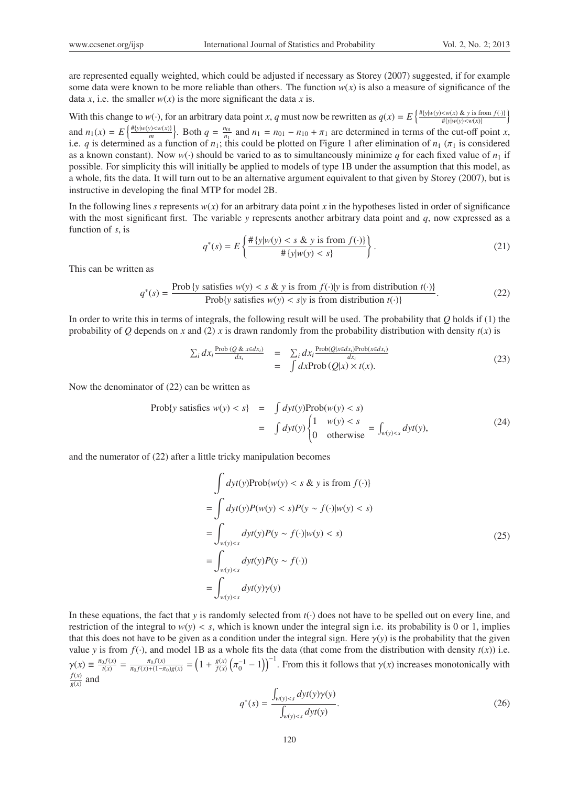are represented equally weighted, which could be adjusted if necessary as Storey (2007) suggested, if for example some data were known to be more reliable than others. The function  $w(x)$  is also a measure of significance of the data *x*, i.e. the smaller  $w(x)$  is the more significant the data *x* is.

With this change to  $w(\cdot)$ , for an arbitrary data point x, q must now be rewritten as  $q(x) = E\left\{\frac{\#(y|w(y) < w(x) \& y \text{ is from } f(\cdot))}{\#(y|w(y) < w(x)}\right\}$ and  $n_1(x) = E\left\{\frac{\#{y|w(y) \le w(x)}\}}{m}\right\}$ . Both  $q = \frac{n_{01}}{n_1}$  and  $n_1 = n_{01} - n_{10} + \pi_1$  are determined in terms of the cut-off point x, i.e. *q* is determined as a function of  $n_1$ ; this could be plotted on Figure 1 after elimination of  $n_1$  ( $\pi_1$  is considered as a known constant). Now  $w(\cdot)$  should be varied to as to simultaneously minimize q for each fixed value of  $n_1$  if possible. For simplicity this will initially be applied to models of type 1B under the assumption that this model, as a whole, fits the data. It will turn out to be an alternative argument equivalent to that given by Storey (2007), but is instructive in developing the final MTP for model 2B.

In the following lines *s* represents  $w(x)$  for an arbitrary data point *x* in the hypotheses listed in order of significance with the most significant first. The variable *y* represents another arbitrary data point and *q*, now expressed as a function of *s*, is

$$
q^*(s) = E\left\{\frac{\#\{y|w(y) < s \& y \text{ is from } f(\cdot)\}}{\#\{y|w(y) < s\}}\right\}.\tag{21}
$$

This can be written as

$$
q^*(s) = \frac{\text{Prob}\{y \text{ satisfies } w(y) < s \& y \text{ is from } f(\cdot)|y \text{ is from distribution } t(\cdot)\}}{\text{Prob}\{y \text{ satisfies } w(y) < s|y \text{ is from distribution } t(\cdot)\}}.\tag{22}
$$

In order to write this in terms of integrals, the following result will be used. The probability that *Q* holds if (1) the probability of *Q* depends on *x* and (2) *x* is drawn randomly from the probability distribution with density  $t(x)$  is

$$
\sum_{i} dx_{i} \frac{\text{Prob}(Q \& x \in dx_{i})}{dx_{i}} = \sum_{i} dx_{i} \frac{\text{Prob}(Q | x \in dx_{i}) \text{Prob}(x \in dx_{i})}{dx_{i}}
$$
\n
$$
= \int dx \text{Prob}(Q | x) \times t(x).
$$
\n(23)

Now the denominator of (22) can be written as

$$
\text{Prob}\{y \text{ satisfies } w(y) < s\} = \int dy t(y) \text{Prob}(w(y) < s) \\ = \int dy t(y) \begin{cases} 1 & w(y) < s \\ 0 & \text{otherwise} \end{cases} = \int_{w(y) < s} dy t(y), \tag{24}
$$

and the numerator of (22) after a little tricky manipulation becomes

$$
\int dyt(y)Prob\{w(y) < s \& y \text{ is from } f(\cdot)\}
$$
\n
$$
= \int dyt(y)P(w(y) < s)P(y \sim f(\cdot)|w(y) < s)
$$
\n
$$
= \int_{w(y) < s} dyt(y)P(y \sim f(\cdot)|w(y) < s)
$$
\n
$$
= \int_{w(y) < s} dyt(y)P(y \sim f(\cdot))
$$
\n
$$
= \int_{w(y) < s} dyt(y)\gamma(y)
$$
\n(25)

In these equations, the fact that *y* is randomly selected from  $t(\cdot)$  does not have to be spelled out on every line, and restriction of the integral to  $w(y) < s$ , which is known under the integral sign i.e. its probability is 0 or 1, implies that this does not have to be given as a condition under the integral sign. Here  $\gamma(y)$  is the probability that the given value *y* is from  $f(\cdot)$ , and model 1B as a whole fits the data (that come from the distribution with density  $t(x)$ ) i.e.  $\gamma(x) \equiv \frac{\pi_0 f(x)}{t(x)} = \frac{\pi_0 f(x)}{\pi_0 f(x) + (1 - \pi_0)g(x)} = \left(1 + \frac{g(x)}{f(x)} \left(\pi_0^{-1} - 1\right)\right)^{-1}$ . From this it follows that  $\gamma(x)$  increases monotonically with  $\frac{f(x)}{g(x)}$  and

$$
q^*(s) = \frac{\int_{w(y) < s} dy t(y) \gamma(y)}{\int_{w(y) < s} dy t(y)}.\tag{26}
$$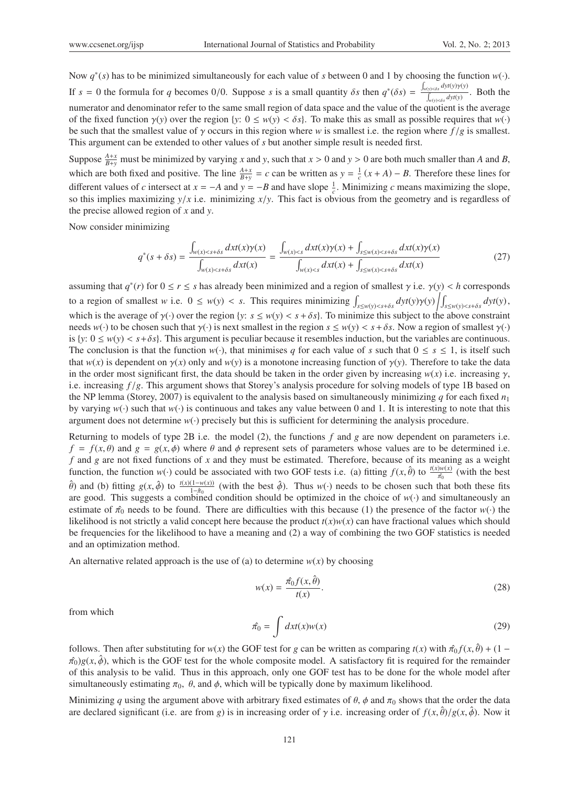Now *q*<sup>∗</sup>(*s*) has to be minimized simultaneously for each value of *s* between 0 and 1 by choosing the function *w*(·). If  $s = 0$  the formula for *q* becomes 0/0. Suppose *s* is a small quantity  $\delta s$  then  $q^*(\delta s) = \frac{\int_{y(y) < \delta s} dy(y) y(y)}{\delta s}$  $\int_{w(y) < \delta s}^{(y) < \delta s} dyt(y)$ . Both the numerator and denominator refer to the same small region of data space and the value of the quotient is the average of the fixed function  $\gamma(y)$  over the region {*y*:  $0 \leq w(y) < \delta s$ }. To make this as small as possible requires that  $w(\cdot)$ be such that the smallest value of γ occurs in this region where *w* is smallest i.e. the region where *f* /*g* is smallest. This argument can be extended to other values of *s* but another simple result is needed first.

Suppose  $\frac{A+x}{B+y}$  must be minimized by varying *x* and *y*, such that  $x > 0$  and  $y > 0$  are both much smaller than *A* and *B*, which are both fixed and positive. The line  $\frac{A+x}{B+y} = c$  can be written as  $y = \frac{1}{c}(x+A) - B$ . Therefore these lines for different values of *c* intersect at  $x = -A$  and  $y = -B$  and have slope  $\frac{1}{c}$ . Minimizing *c* means maximizing the slope, so this implies maximizing  $y/x$  i.e. minimizing  $x/y$ . This fact is obvious from the geometry and is regardless of the precise allowed region of *x* and *y*.

Now consider minimizing

$$
q^*(s+\delta s) = \frac{\int_{w(x) < s+\delta s} dx t(x)\gamma(x)}{\int_{w(x) < s+\delta s} dx t(x)} = \frac{\int_{w(x) < s} dx t(x)\gamma(x) + \int_{s \le w(x) < s+\delta s} dx t(x)\gamma(x)}{\int_{w(x) < s} dx t(x) + \int_{s \le w(x) < s+\delta s} dx t(x)}\tag{27}
$$

assuming that  $q^*(r)$  for  $0 \le r \le s$  has already been minimized and a region of smallest  $\gamma$  i.e.  $\gamma(y) < h$  corresponds to a region of smallest w i.e.  $0 \leq w(y) < s$ . This requires minimizing  $\int_{s \leq w(y) < s+\delta s} dyt(y)\gamma(y) \left| \int_{s \leq w(y) < s+\delta s} dyt(y)$ , which is the average of  $\gamma(\cdot)$  over the region {*y*:  $s \leq w(y) < s + \delta s$ }. To minimize this subject to the above constraint needs  $w(\cdot)$  to be chosen such that  $\gamma(\cdot)$  is next smallest in the region  $s \leq w(y) < s + \delta s$ . Now a region of smallest  $\gamma(\cdot)$ is  $\{y: 0 \le w(y) < s + \delta s\}$ . This argument is peculiar because it resembles induction, but the variables are continuous. The conclusion is that the function  $w(\cdot)$ , that minimises *q* for each value of *s* such that  $0 \le s \le 1$ , is itself such that  $w(x)$  is dependent on  $\gamma(x)$  only and  $w(y)$  is a monotone increasing function of  $\gamma(y)$ . Therefore to take the data in the order most significant first, the data should be taken in the order given by increasing  $w(x)$  i.e. increasing  $\gamma$ , i.e. increasing *f* /*g*. This argument shows that Storey's analysis procedure for solving models of type 1B based on the NP lemma (Storey, 2007) is equivalent to the analysis based on simultaneously minimizing *q* for each fixed  $n_1$ by varying  $w(\cdot)$  such that  $w(\cdot)$  is continuous and takes any value between 0 and 1. It is interesting to note that this argument does not determine *w*(·) precisely but this is sufficient for determining the analysis procedure.

Returning to models of type 2B i.e. the model (2), the functions *f* and *g* are now dependent on parameters i.e.  $f = f(x, \theta)$  and  $g = g(x, \phi)$  where  $\theta$  and  $\phi$  represent sets of parameters whose values are to be determined i.e. *f* and *g* are not fixed functions of *x* and they must be estimated. Therefore, because of its meaning as a weight function, the function  $w(\cdot)$  could be associated with two GOF tests i.e. (a) fitting  $f(x, \hat{\theta})$  to  $\frac{t(x)w(x)}{\hat{\pi}_0}$  (with the best  $\hat{\theta}$ ) and (b) fitting  $g(x, \hat{\phi})$  to  $\frac{t(x)(1-w(x))}{1-\hat{\pi}_0}$  (with the best  $\hat{\phi}$ ). Thus *w*(·) needs to be chosen such that both these fits are good. This suggests a combined condition should be optimized in the choice of  $w(\cdot)$  and simultaneously an estimate of  $\hat{\pi}_0$  needs to be found. There are difficulties with this because (1) the presence of the factor *w*(·) the likelihood is not strictly a valid concept here because the product  $t(x)w(x)$  can have fractional values which should be frequencies for the likelihood to have a meaning and (2) a way of combining the two GOF statistics is needed and an optimization method.

An alternative related approach is the use of (a) to determine  $w(x)$  by choosing

$$
w(x) = \frac{\hat{\pi_0} f(x, \hat{\theta})}{t(x)}.
$$
\n(28)

from which

$$
\hat{\pi}_0 = \int dx t(x) w(x) \tag{29}
$$

follows. Then after substituting for  $w(x)$  the GOF test for *g* can be written as comparing  $t(x)$  with  $\hat{\pi}_0 f(x, \hat{\theta}) + (1 - \hat{\theta}_0 f(x, \hat{\theta}))$  $\hat{\pi}_0$ )*g*(*x*,  $\hat{\phi}$ ), which is the GOF test for the whole composite model. A satisfactory fit is required for the remainder of this analysis to be valid. Thus in this approach, only one GOF test has to be done for the whole model after simultaneously estimating  $\pi_0$ ,  $\theta$ , and  $\phi$ , which will be typically done by maximum likelihood.

Minimizing q using the argument above with arbitrary fixed estimates of  $\theta$ ,  $\phi$  and  $\pi_0$  shows that the order the data are declared significant (i.e. are from *g*) is in increasing order of  $\gamma$  i.e. increasing order of  $f(x, \hat{\theta})/g(x, \hat{\phi})$ . Now it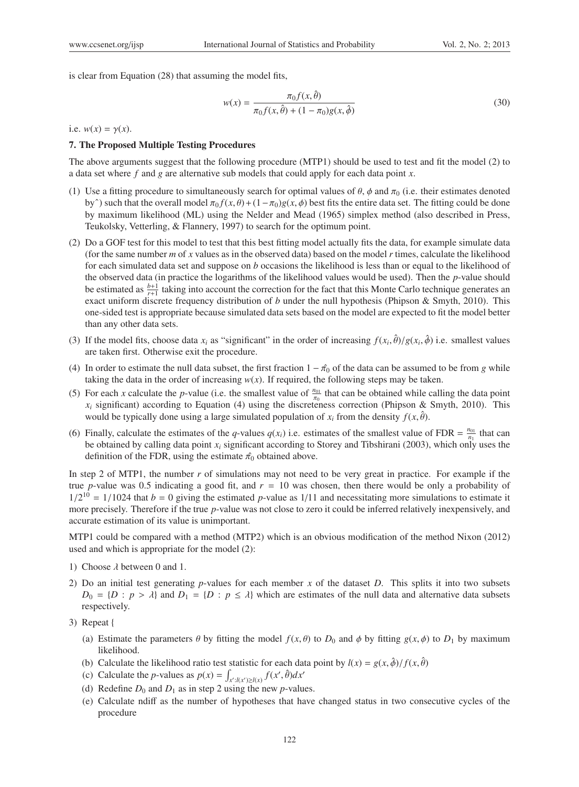is clear from Equation (28) that assuming the model fits,

$$
w(x) = \frac{\pi_0 f(x, \hat{\theta})}{\pi_0 f(x, \hat{\theta}) + (1 - \pi_0)g(x, \hat{\phi})}
$$
(30)

i.e.  $w(x) = \gamma(x)$ .

#### 7. The Proposed Multiple Testing Procedures

The above arguments suggest that the following procedure (MTP1) should be used to test and fit the model (2) to a data set where *f* and *g* are alternative sub models that could apply for each data point *x*.

- (1) Use a fitting procedure to simultaneously search for optimal values of  $\theta$ ,  $\phi$  and  $\pi_0$  (i.e. their estimates denoted by<sup> $\hat{ }$ </sup>) such that the overall model  $\pi_0 f(x, \theta) + (1 - \pi_0)g(x, \phi)$  best fits the entire data set. The fitting could be done by maximum likelihood (ML) using the Nelder and Mead (1965) simplex method (also described in Press, Teukolsky, Vetterling, & Flannery, 1997) to search for the optimum point.
- (2) Do a GOF test for this model to test that this best fitting model actually fits the data, for example simulate data (for the same number *m* of *x* values as in the observed data) based on the model *r* times, calculate the likelihood for each simulated data set and suppose on *b* occasions the likelihood is less than or equal to the likelihood of the observed data (in practice the logarithms of the likelihood values would be used). Then the *p*-value should be estimated as  $\frac{b+1}{r+1}$  taking into account the correction for the fact that this Monte Carlo technique generates an exact uniform discrete frequency distribution of *b* under the null hypothesis (Phipson & Smyth, 2010). This one-sided test is appropriate because simulated data sets based on the model are expected to fit the model better than any other data sets.
- (3) If the model fits, choose data  $x_i$  as "significant" in the order of increasing  $f(x_i, \hat{\theta})/g(x_i, \hat{\phi})$  i.e. smallest values are taken first. Otherwise exit the procedure.
- (4) In order to estimate the null data subset, the first fraction  $1 \hat{\pi_0}$  of the data can be assumed to be from *g* while taking the data in the order of increasing  $w(x)$ . If required, the following steps may be taken.
- (5) For each *x* calculate the *p*-value (i.e. the smallest value of  $\frac{n_{01}}{\pi_0}$  that can be obtained while calling the data point  $x_i$  significant) according to Equation (4) using the discreteness correction (Phipson & Smyth, 2010). This would be typically done using a large simulated population of  $x_i$  from the density  $f(x, \hat{\theta})$ .
- (6) Finally, calculate the estimates of the *q*-values  $q(x_i)$  i.e. estimates of the smallest value of FDR =  $\frac{n_{01}}{n_1}$  that can be obtained by calling data point *xi* significant according to Storey and Tibshirani (2003), which only uses the definition of the FDR, using the estimate  $\hat{\pi_0}$  obtained above.

In step 2 of MTP1, the number *r* of simulations may not need to be very great in practice. For example if the true *p*-value was 0.5 indicating a good fit, and *r* = 10 was chosen, then there would be only a probability of  $1/2^{10} = 1/1024$  that  $b = 0$  giving the estimated p-value as  $1/11$  and necessitating more simulations to estimate it more precisely. Therefore if the true *p*-value was not close to zero it could be inferred relatively inexpensively, and accurate estimation of its value is unimportant.

MTP1 could be compared with a method (MTP2) which is an obvious modification of the method Nixon (2012) used and which is appropriate for the model (2):

- 1) Choose  $\lambda$  between 0 and 1.
- 2) Do an initial test generating *p*-values for each member *x* of the dataset *D*. This splits it into two subsets  $D_0 = \{D : p > \lambda\}$  and  $D_1 = \{D : p \leq \lambda\}$  which are estimates of the null data and alternative data subsets respectively.
- 3) Repeat {
	- (a) Estimate the parameters  $\theta$  by fitting the model  $f(x, \theta)$  to  $D_0$  and  $\phi$  by fitting  $g(x, \phi)$  to  $D_1$  by maximum likelihood.
	- (b) Calculate the likelihood ratio test statistic for each data point by  $l(x) = g(x, \hat{\phi})/f(x, \hat{\theta})$
	- (c) Calculate the *p*-values as  $p(x) = \int_{x': l(x') \ge l(x)} f(x', \hat{\theta}) dx'$
	- (d) Redefine  $D_0$  and  $D_1$  as in step 2 using the new *p*-values.
	- (e) Calculate ndiff as the number of hypotheses that have changed status in two consecutive cycles of the procedure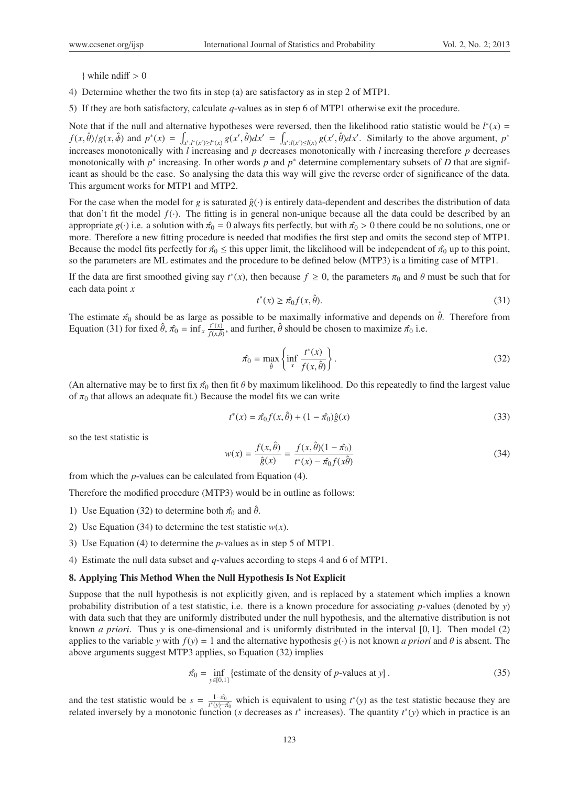$\}$  while ndiff  $> 0$ 

- 4) Determine whether the two fits in step (a) are satisfactory as in step 2 of MTP1.
- 5) If they are both satisfactory, calculate *q*-values as in step 6 of MTP1 otherwise exit the procedure.

Note that if the null and alternative hypotheses were reversed, then the likelihood ratio statistic would be  $l^*(x)$  =  $f(x, \hat{\theta})/g(x, \hat{\phi})$  and  $p^*(x) = \int_{x': l^*(x') \ge l^*(x)} g(x', \hat{\theta}) dx' = \int_{x': l(x') \le l(x)} g(x', \hat{\theta}) dx'$ . Similarly to the above argument,  $p^*$ increases monotonically with *l* increasing and *p* decreases monotonically with *l* increasing therefore *p* decreases monotonically with *p*<sup>∗</sup> increasing. In other words *p* and *p*<sup>∗</sup> determine complementary subsets of *D* that are significant as should be the case. So analysing the data this way will give the reverse order of significance of the data. This argument works for MTP1 and MTP2.

For the case when the model for *g* is saturated  $\hat{g}(\cdot)$  is entirely data-dependent and describes the distribution of data that don't fit the model  $f(.)$ . The fitting is in general non-unique because all the data could be described by an appropriate *g*(·) i.e. a solution with  $\hat{\pi}_0 = 0$  always fits perfectly, but with  $\hat{\pi}_0 > 0$  there could be no solutions, one or more. Therefore a new fitting procedure is needed that modifies the first step and omits the second step of MTP1. Because the model fits perfectly for  $\hat{\pi}_0 \leq$  this upper limit, the likelihood will be independent of  $\hat{\pi}_0$  up to this point, so the parameters are ML estimates and the procedure to be defined below (MTP3) is a limiting case of MTP1.

If the data are first smoothed giving say  $t^*(x)$ , then because  $f \ge 0$ , the parameters  $\pi_0$  and  $\theta$  must be such that for each data point *x*

$$
t^*(x) \ge \hat{\pi_0} f(x, \hat{\theta}).\tag{31}
$$

The estimate  $\hat{\pi}_0$  should be as large as possible to be maximally informative and depends on  $\hat{\theta}$ . Therefore from Equation (31) for fixed  $\hat{\theta}$ ,  $\hat{\pi_0} = \inf_x \frac{t^*(x)}{f(x)}$  $f^*(x)$ , and further,  $\hat{\theta}$  should be chosen to maximize  $\hat{\pi_0}$  i.e.

$$
\hat{\pi_0} = \max_{\hat{\theta}} \left\{ \inf_x \frac{t^*(x)}{f(x, \hat{\theta})} \right\}.
$$
\n(32)

(An alternative may be to first fix  $\hat{\pi}_0$  then fit  $\theta$  by maximum likelihood. Do this repeatedly to find the largest value of  $\pi_0$  that allows an adequate fit.) Because the model fits we can write

$$
t^*(x) = \hat{\pi_0} f(x, \hat{\theta}) + (1 - \hat{\pi_0})\hat{g}(x)
$$
\n(33)

so the test statistic is

$$
w(x) = \frac{f(x, \hat{\theta})}{\hat{g}(x)} = \frac{f(x, \hat{\theta})(1 - \hat{\pi_0})}{t^*(x) - \hat{\pi_0}f(x\hat{\theta})}
$$
(34)

from which the *p*-values can be calculated from Equation (4).

Therefore the modified procedure (MTP3) would be in outline as follows:

- 1) Use Equation (32) to determine both  $\hat{\pi}_0$  and  $\hat{\theta}$ .
- 2) Use Equation (34) to determine the test statistic  $w(x)$ .
- 3) Use Equation (4) to determine the *p*-values as in step 5 of MTP1.
- 4) Estimate the null data subset and *q*-values according to steps 4 and 6 of MTP1.

#### 8. Applying This Method When the Null Hypothesis Is Not Explicit

Suppose that the null hypothesis is not explicitly given, and is replaced by a statement which implies a known probability distribution of a test statistic, i.e. there is a known procedure for associating *p*-values (denoted by *y*) with data such that they are uniformly distributed under the null hypothesis, and the alternative distribution is not known *a priori*. Thus *y* is one-dimensional and is uniformly distributed in the interval [0, 1]. Then model (2) applies to the variable *y* with  $f(y) = 1$  and the alternative hypothesis  $g(\cdot)$  is not known *a priori* and  $\theta$  is absent. The above arguments suggest MTP3 applies, so Equation (32) implies

$$
\hat{\pi}_0 = \inf_{y \in [0,1]} \{ \text{estimate of the density of } p\text{-values at } y \}. \tag{35}
$$

and the test statistic would be  $s = \frac{1-\hat{\pi}_0}{t^*(y)-\hat{\pi}_0}$  which is equivalent to using  $t^*(y)$  as the test statistic because they are related inversely by a monotonic function (*s* decreases as  $t^*$  increases). The quantity  $t^*(y)$  which in practice is an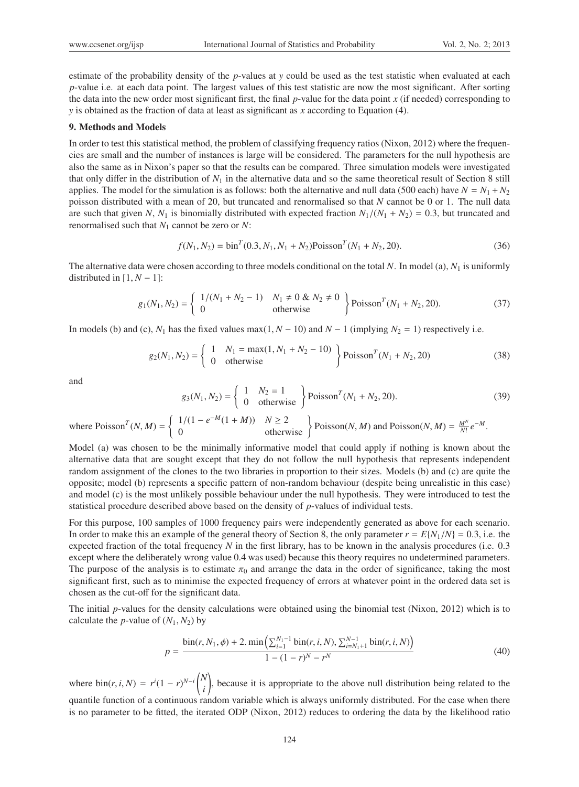estimate of the probability density of the *p*-values at *y* could be used as the test statistic when evaluated at each *p*-value i.e. at each data point. The largest values of this test statistic are now the most significant. After sorting the data into the new order most significant first, the final *p*-value for the data point *x* (if needed) corresponding to *y* is obtained as the fraction of data at least as significant as *x* according to Equation (4).

#### 9. Methods and Models

In order to test this statistical method, the problem of classifying frequency ratios (Nixon, 2012) where the frequencies are small and the number of instances is large will be considered. The parameters for the null hypothesis are also the same as in Nixon's paper so that the results can be compared. Three simulation models were investigated that only differ in the distribution of  $N_1$  in the alternative data and so the same theoretical result of Section 8 still applies. The model for the simulation is as follows: both the alternative and null data (500 each) have  $N = N_1 + N_2$ poisson distributed with a mean of 20, but truncated and renormalised so that *N* cannot be 0 or 1. The null data are such that given *N*,  $N_1$  is binomially distributed with expected fraction  $N_1/(N_1 + N_2) = 0.3$ , but truncated and renormalised such that *N*<sup>1</sup> cannot be zero or *N*:

$$
f(N_1, N_2) = \text{bin}^T (0.3, N_1, N_1 + N_2) \text{Poisson}^T (N_1 + N_2, 20). \tag{36}
$$

The alternative data were chosen according to three models conditional on the total *N*. In model (a), *N*<sup>1</sup> is uniformly distributed in  $[1, N - 1]$ :

$$
g_1(N_1, N_2) = \left\{ \begin{array}{ll} 1/(N_1 + N_2 - 1) & N_1 \neq 0 \& N_2 \neq 0 \\ 0 & \text{otherwise} \end{array} \right\} \text{Poisson}^T(N_1 + N_2, 20). \tag{37}
$$

In models (b) and (c),  $N_1$  has the fixed values max(1,  $N - 10$ ) and  $N - 1$  (implying  $N_2 = 1$ ) respectively i.e.

$$
g_2(N_1, N_2) = \left\{ \begin{array}{ll} 1 & N_1 = \max(1, N_1 + N_2 - 10) \\ 0 & \text{otherwise} \end{array} \right\} \text{Poisson}^T(N_1 + N_2, 20) \tag{38}
$$

and

$$
g_3(N_1, N_2) = \begin{cases} 1 & N_2 = 1 \\ 0 & \text{otherwise} \end{cases} \text{Poisson}^T(N_1 + N_2, 20). \tag{39}
$$

where Poisson<sup>T</sup>(N, M) = 
$$
\begin{cases} 1/(1 - e^{-M}(1 + M)) & N \ge 2 \\ 0 & \text{otherwise} \end{cases}
$$
 Poisson(N, M) and Poisson(N, M) =  $\frac{M^N}{N!}e^{-M}$ .

Model (a) was chosen to be the minimally informative model that could apply if nothing is known about the alternative data that are sought except that they do not follow the null hypothesis that represents independent random assignment of the clones to the two libraries in proportion to their sizes. Models (b) and (c) are quite the opposite; model (b) represents a specific pattern of non-random behaviour (despite being unrealistic in this case) and model (c) is the most unlikely possible behaviour under the null hypothesis. They were introduced to test the statistical procedure described above based on the density of *p*-values of individual tests.

For this purpose, 100 samples of 1000 frequency pairs were independently generated as above for each scenario. In order to make this an example of the general theory of Section 8, the only parameter  $r = E{N_1/N} = 0.3$ , i.e. the expected fraction of the total frequency *N* in the first library, has to be known in the analysis procedures (i.e. 0.3 except where the deliberately wrong value 0.4 was used) because this theory requires no undetermined parameters. The purpose of the analysis is to estimate  $\pi_0$  and arrange the data in the order of significance, taking the most significant first, such as to minimise the expected frequency of errors at whatever point in the ordered data set is chosen as the cut-off for the significant data.

The initial *p*-values for the density calculations were obtained using the binomial test (Nixon, 2012) which is to calculate the *p*-value of  $(N_1, N_2)$  by

$$
p = \frac{\text{bin}(r, N_1, \phi) + 2 \cdot \min\left(\sum_{i=1}^{N_1 - 1} \text{bin}(r, i, N), \sum_{i=N_1 + 1}^{N-1} \text{bin}(r, i, N)\right)}{1 - (1 - r)^N - r^N}
$$
(40)

where  $\text{bin}(r, i, N) = r^i(1 - r)^{N-i} \binom{N}{i}$ *i* , because it is appropriate to the above null distribution being related to the quantile function of a continuous random variable which is always uniformly distributed. For the case when there is no parameter to be fitted, the iterated ODP (Nixon, 2012) reduces to ordering the data by the likelihood ratio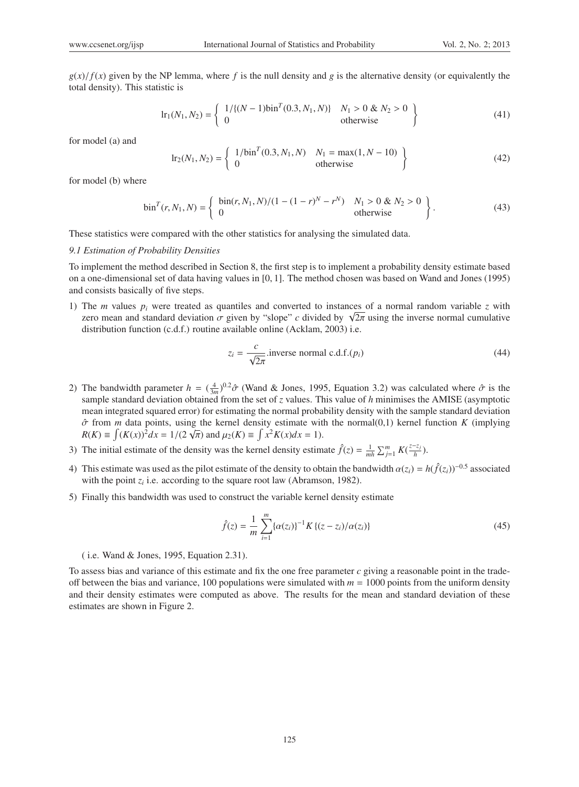$g(x)/f(x)$  given by the NP lemma, where f is the null density and g is the alternative density (or equivalently the total density). This statistic is

$$
\text{lr}_1(N_1, N_2) = \left\{ \begin{array}{ll} 1/\{(N-1)\text{bin}^T(0.3, N_1, N)\} & N_1 > 0 \text{ & } N_2 > 0 \\ 0 & \text{otherwise} \end{array} \right\} \tag{41}
$$

for model (a) and

$$
\text{lr}_2(N_1, N_2) = \left\{ \begin{array}{ll} 1/\text{bin}^T(0.3, N_1, N) & N_1 = \max(1, N - 10) \\ 0 & \text{otherwise} \end{array} \right\} \tag{42}
$$

for model (b) where

$$
\sin^{T}(r, N_{1}, N) = \begin{cases} \sin(r, N_{1}, N)/(1 - (1 - r)^{N} - r^{N}) & N_{1} > 0 & \text{& } N_{2} > 0 \\ 0 & \text{otherwise} \end{cases}
$$
 (43)

These statistics were compared with the other statistics for analysing the simulated data.

#### *9.1 Estimation of Probability Densities*

To implement the method described in Section 8, the first step is to implement a probability density estimate based on a one-dimensional set of data having values in [0, 1]. The method chosen was based on Wand and Jones (1995) and consists basically of five steps.

1) The *m* values *pi* were treated as quantiles and converted to instances of a normal random variable *z* with The *m* values  $p_i$  were treated as quantiles and converted to instances of a normal random variable *z* with zero mean and standard deviation  $\sigma$  given by "slope" *c* divided by  $\sqrt{2\pi}$  using the inverse normal cumula distribution function (c.d.f.) routine available online (Acklam, 2003) i.e.

$$
z_i = \frac{c}{\sqrt{2\pi}}.
$$
inverse normal c.d.f. $(p_i)$  (44)

- 2) The bandwidth parameter  $h = (\frac{4}{3m})^{0.2} \hat{\sigma}$  (Wand & Jones, 1995, Equation 3.2) was calculated where  $\hat{\sigma}$  is the sample standard deviation obtained from the set of *z* values. This value of *h* minimises the AMISE (asymptotic mean integrated squared error) for estimating the normal probability density with the sample standard deviation  $\hat{\sigma}$  from *m* data points, using the kernel density estimate with the normal(0,1) kernel function *K* (implying *R*(*K*) =  $\int (K(x))^2 dx = 1/(2\sqrt{\pi})$  and  $\mu_2(K) = \int x^2 K(x) dx = 1$ .
- 3) The initial estimate of the density was the kernel density estimate  $\hat{f}(z) = \frac{1}{mh} \sum_{j=1}^{m} K(\frac{z-z_j}{h})$ .
- 4) This estimate was used as the pilot estimate of the density to obtain the bandwidth  $\alpha(z_i) = h(\hat{f}(z_i))^{-0.5}$  associated with the point  $z_i$  i.e. according to the square root law (Abramson, 1982).
- 5) Finally this bandwidth was used to construct the variable kernel density estimate

$$
\hat{f}(z) = \frac{1}{m} \sum_{i=1}^{m} \{ \alpha(z_i) \}^{-1} K \{ (z - z_i) / \alpha(z_i) \}
$$
\n(45)

( i.e. Wand & Jones, 1995, Equation 2.31).

To assess bias and variance of this estimate and fix the one free parameter *c* giving a reasonable point in the tradeoff between the bias and variance, 100 populations were simulated with  $m = 1000$  points from the uniform density and their density estimates were computed as above. The results for the mean and standard deviation of these estimates are shown in Figure 2.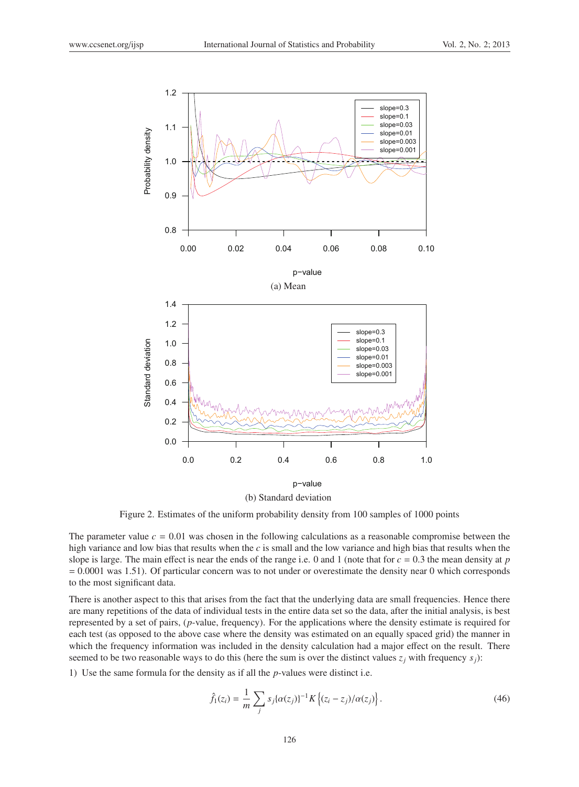

(b) Standard deviation

Figure 2. Estimates of the uniform probability density from 100 samples of 1000 points

The parameter value  $c = 0.01$  was chosen in the following calculations as a reasonable compromise between the high variance and low bias that results when the *c* is small and the low variance and high bias that results when the slope is large. The main effect is near the ends of the range i.e. 0 and 1 (note that for *c* = 0.3 the mean density at *p*  $= 0.0001$  was 1.51). Of particular concern was to not under or overestimate the density near 0 which corresponds to the most significant data.

There is another aspect to this that arises from the fact that the underlying data are small frequencies. Hence there are many repetitions of the data of individual tests in the entire data set so the data, after the initial analysis, is best represented by a set of pairs, (*p*-value, frequency). For the applications where the density estimate is required for each test (as opposed to the above case where the density was estimated on an equally spaced grid) the manner in which the frequency information was included in the density calculation had a major effect on the result. There seemed to be two reasonable ways to do this (here the sum is over the distinct values  $z_j$  with frequency  $s_j$ ):

1) Use the same formula for the density as if all the *p*-values were distinct i.e.

$$
\hat{f}_1(z_i) = \frac{1}{m} \sum_j s_j \{ \alpha(z_j) \}^{-1} K \left\{ (z_i - z_j) / \alpha(z_j) \right\}.
$$
\n(46)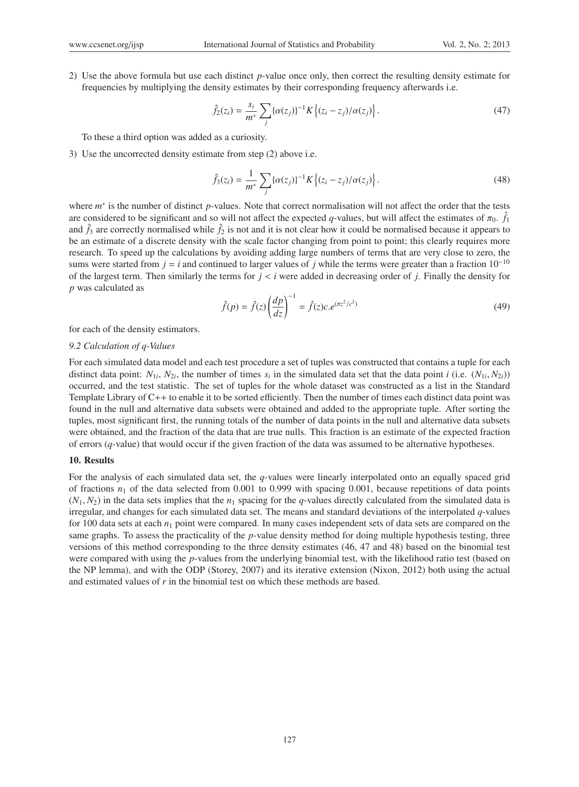2) Use the above formula but use each distinct *p*-value once only, then correct the resulting density estimate for frequencies by multiplying the density estimates by their corresponding frequency afterwards i.e.

$$
\hat{f}_2(z_i) = \frac{s_i}{m^*} \sum_j \{ \alpha(z_j) \}^{-1} K \left\{ (z_i - z_j) / \alpha(z_j) \right\}.
$$
\n(47)

To these a third option was added as a curiosity.

3) Use the uncorrected density estimate from step (2) above i.e.

$$
\hat{f}_3(z_i) = \frac{1}{m^*} \sum_j \{ \alpha(z_j) \}^{-1} K \left\{ (z_i - z_j) / \alpha(z_j) \right\}.
$$
 (48)

where *m*<sup>∗</sup> is the number of distinct *p*-values. Note that correct normalisation will not affect the order that the tests are considered to be significant and so will not affect the expected *q*-values, but will affect the estimates of  $\pi_0$ .  $\hat{f}_1$ and  $\hat{f}_3$  are correctly normalised while  $\hat{f}_2$  is not and it is not clear how it could be normalised because it appears to be an estimate of a discrete density with the scale factor changing from point to point; this clearly requires more research. To speed up the calculations by avoiding adding large numbers of terms that are very close to zero, the sums were started from  $j = i$  and continued to larger values of *j* while the terms were greater than a fraction  $10^{-10}$ of the largest term. Then similarly the terms for  $j < i$  were added in decreasing order of  $j$ . Finally the density for *p* was calculated as

$$
\hat{f}(p) = \hat{f}(z) \left(\frac{dp}{dz}\right)^{-1} = \hat{f}(z)c.e^{(\pi z^2/c^2)}
$$
\n(49)

for each of the density estimators.

## *9.2 Calculation of q-Values*

For each simulated data model and each test procedure a set of tuples was constructed that contains a tuple for each distinct data point:  $N_{1i}$ ,  $N_{2i}$ , the number of times  $s_i$  in the simulated data set that the data point *i* (i.e.  $(N_{1i}, N_{2i})$ ) occurred, and the test statistic. The set of tuples for the whole dataset was constructed as a list in the Standard Template Library of C++ to enable it to be sorted efficiently. Then the number of times each distinct data point was found in the null and alternative data subsets were obtained and added to the appropriate tuple. After sorting the tuples, most significant first, the running totals of the number of data points in the null and alternative data subsets were obtained, and the fraction of the data that are true nulls. This fraction is an estimate of the expected fraction of errors (*q*-value) that would occur if the given fraction of the data was assumed to be alternative hypotheses.

#### 10. Results

For the analysis of each simulated data set, the *q*-values were linearly interpolated onto an equally spaced grid of fractions  $n_1$  of the data selected from 0.001 to 0.999 with spacing 0.001, because repetitions of data points  $(N_1, N_2)$  in the data sets implies that the  $n_1$  spacing for the *q*-values directly calculated from the simulated data is irregular, and changes for each simulated data set. The means and standard deviations of the interpolated *q*-values for 100 data sets at each  $n_1$  point were compared. In many cases independent sets of data sets are compared on the same graphs. To assess the practicality of the *p*-value density method for doing multiple hypothesis testing, three versions of this method corresponding to the three density estimates (46, 47 and 48) based on the binomial test were compared with using the *p*-values from the underlying binomial test, with the likelihood ratio test (based on the NP lemma), and with the ODP (Storey, 2007) and its iterative extension (Nixon, 2012) both using the actual and estimated values of *r* in the binomial test on which these methods are based.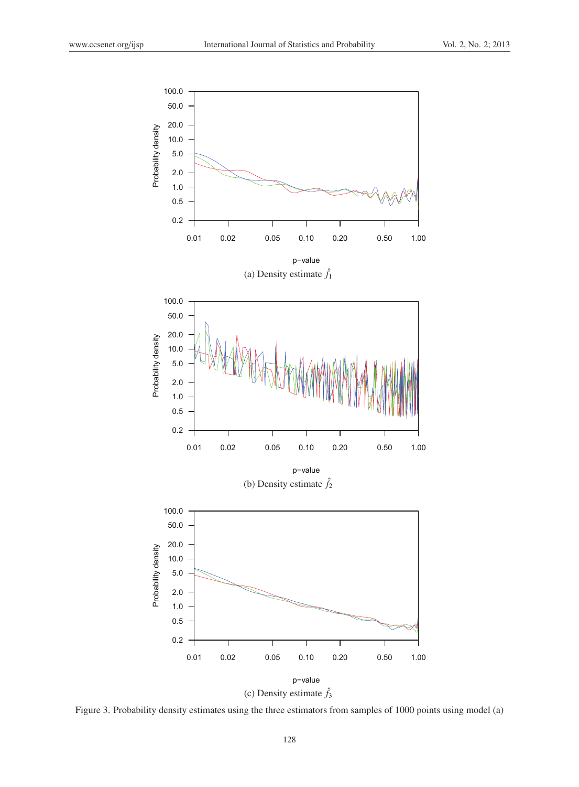

(c) Density estimate  $\hat{f}_3$ 

Figure 3. Probability density estimates using the three estimators from samples of 1000 points using model (a)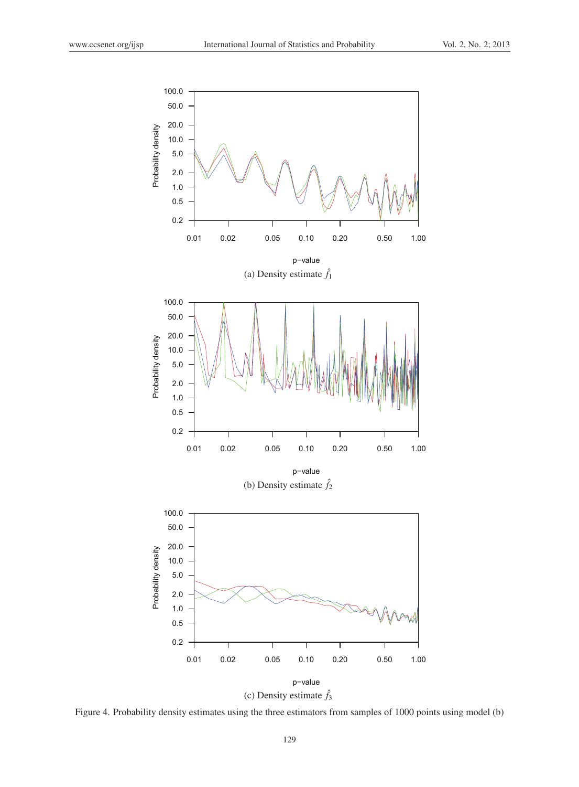

Figure 4. Probability density estimates using the three estimators from samples of 1000 points using model (b)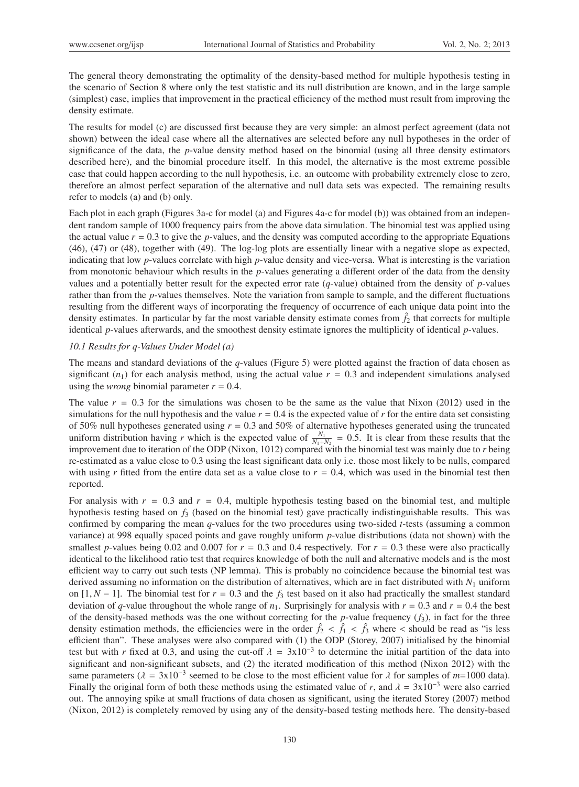The general theory demonstrating the optimality of the density-based method for multiple hypothesis testing in the scenario of Section 8 where only the test statistic and its null distribution are known, and in the large sample (simplest) case, implies that improvement in the practical efficiency of the method must result from improving the density estimate.

The results for model (c) are discussed first because they are very simple: an almost perfect agreement (data not shown) between the ideal case where all the alternatives are selected before any null hypotheses in the order of significance of the data, the *p*-value density method based on the binomial (using all three density estimators described here), and the binomial procedure itself. In this model, the alternative is the most extreme possible case that could happen according to the null hypothesis, i.e. an outcome with probability extremely close to zero, therefore an almost perfect separation of the alternative and null data sets was expected. The remaining results refer to models (a) and (b) only.

Each plot in each graph (Figures 3a-c for model (a) and Figures 4a-c for model (b)) was obtained from an independent random sample of 1000 frequency pairs from the above data simulation. The binomial test was applied using the actual value  $r = 0.3$  to give the *p*-values, and the density was computed according to the appropriate Equations (46), (47) or (48), together with (49). The log-log plots are essentially linear with a negative slope as expected, indicating that low *p*-values correlate with high *p*-value density and vice-versa. What is interesting is the variation from monotonic behaviour which results in the *p*-values generating a different order of the data from the density values and a potentially better result for the expected error rate (*q*-value) obtained from the density of *p*-values rather than from the *p*-values themselves. Note the variation from sample to sample, and the different fluctuations resulting from the different ways of incorporating the frequency of occurrence of each unique data point into the density estimates. In particular by far the most variable density estimate comes from  $\hat{f}_2$  that corrects for multiple identical *p*-values afterwards, and the smoothest density estimate ignores the multiplicity of identical *p*-values.

# *10.1 Results for q-Values Under Model (a)*

The means and standard deviations of the *q*-values (Figure 5) were plotted against the fraction of data chosen as significant  $(n_1)$  for each analysis method, using the actual value  $r = 0.3$  and independent simulations analysed using the *wrong* binomial parameter  $r = 0.4$ .

The value *r* = 0.3 for the simulations was chosen to be the same as the value that Nixon (2012) used in the simulations for the null hypothesis and the value  $r = 0.4$  is the expected value of  $r$  for the entire data set consisting of 50% null hypotheses generated using  $r = 0.3$  and 50% of alternative hypotheses generated using the truncated uniform distribution having *r* which is the expected value of  $\frac{N_1}{N_1+N_2} = 0.5$ . It is clear from these results that the improvement due to iteration of the ODP (Nixon, 1012) compared with the binomial test was mainly due to *r* being re-estimated as a value close to 0.3 using the least significant data only i.e. those most likely to be nulls, compared with using  $r$  fitted from the entire data set as a value close to  $r = 0.4$ , which was used in the binomial test then reported.

For analysis with  $r = 0.3$  and  $r = 0.4$ , multiple hypothesis testing based on the binomial test, and multiple hypothesis testing based on *f*<sup>3</sup> (based on the binomial test) gave practically indistinguishable results. This was confirmed by comparing the mean *q*-values for the two procedures using two-sided *t*-tests (assuming a common variance) at 998 equally spaced points and gave roughly uniform *p*-value distributions (data not shown) with the smallest *p*-values being 0.02 and 0.007 for  $r = 0.3$  and 0.4 respectively. For  $r = 0.3$  these were also practically identical to the likelihood ratio test that requires knowledge of both the null and alternative models and is the most efficient way to carry out such tests (NP lemma). This is probably no coincidence because the binomial test was derived assuming no information on the distribution of alternatives, which are in fact distributed with *N*<sup>1</sup> uniform on [1,  $N - 1$ ]. The binomial test for  $r = 0.3$  and the  $f_3$  test based on it also had practically the smallest standard deviation of *q*-value throughout the whole range of  $n_1$ . Surprisingly for analysis with  $r = 0.3$  and  $r = 0.4$  the best of the density-based methods was the one without correcting for the *p*-value frequency  $(f_3)$ , in fact for the three density estimation methods, the efficiencies were in the order  $\hat{f}_2 < \hat{f}_1 < \hat{f}_3$  where < should be read as "is less efficient than". These analyses were also compared with (1) the ODP (Storey, 2007) initialised by the binomial test but with *r* fixed at 0.3, and using the cut-off  $\lambda = 3x10^{-3}$  to determine the initial partition of the data into significant and non-significant subsets, and (2) the iterated modification of this method (Nixon 2012) with the same parameters ( $\lambda = 3x10^{-3}$  seemed to be close to the most efficient value for  $\lambda$  for samples of  $m=1000$  data). Finally the original form of both these methods using the estimated value of *r*, and  $\lambda = 3x10^{-3}$  were also carried out. The annoying spike at small fractions of data chosen as significant, using the iterated Storey (2007) method (Nixon, 2012) is completely removed by using any of the density-based testing methods here. The density-based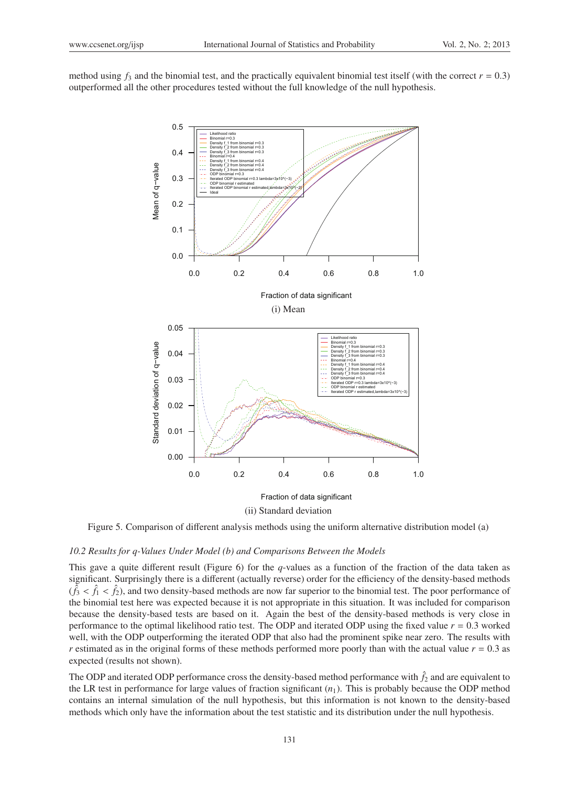method using  $f_3$  and the binomial test, and the practically equivalent binomial test itself (with the correct  $r = 0.3$ ) outperformed all the other procedures tested without the full knowledge of the null hypothesis.



Figure 5. Comparison of different analysis methods using the uniform alternative distribution model (a)

#### *10.2 Results for q-Values Under Model (b) and Comparisons Between the Models*

This gave a quite different result (Figure 6) for the *q*-values as a function of the fraction of the data taken as significant. Surprisingly there is a different (actually reverse) order for the efficiency of the density-based methods  $(\hat{f}_3 < \hat{f}_1 < \hat{f}_2)$ , and two density-based methods are now far superior to the binomial test. The poor performance of the binomial test here was expected because it is not appropriate in this situation. It was included for comparison because the density-based tests are based on it. Again the best of the density-based methods is very close in performance to the optimal likelihood ratio test. The ODP and iterated ODP using the fixed value  $r = 0.3$  worked well, with the ODP outperforming the iterated ODP that also had the prominent spike near zero. The results with *r* estimated as in the original forms of these methods performed more poorly than with the actual value *r* = 0.3 as expected (results not shown).

The ODP and iterated ODP performance cross the density-based method performance with  $\hat{f}_2$  and are equivalent to the LR test in performance for large values of fraction significant  $(n_1)$ . This is probably because the ODP method contains an internal simulation of the null hypothesis, but this information is not known to the density-based methods which only have the information about the test statistic and its distribution under the null hypothesis.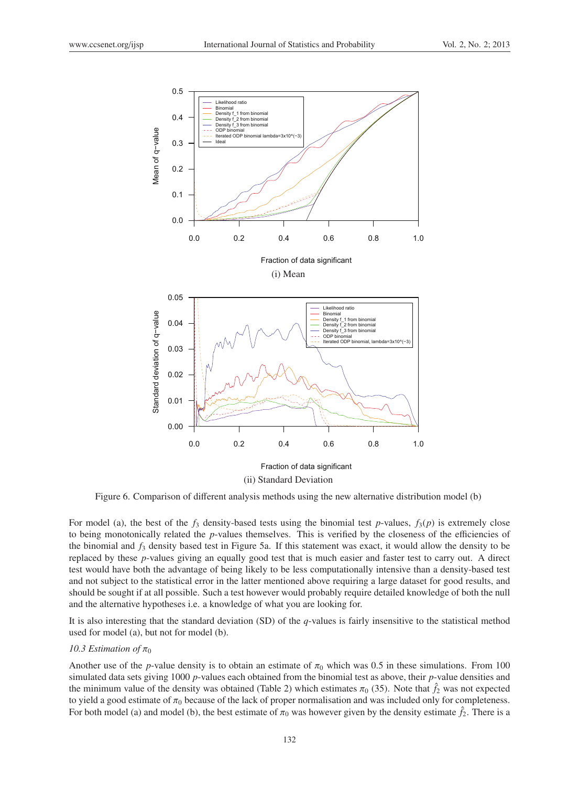

Figure 6. Comparison of different analysis methods using the new alternative distribution model (b)

For model (a), the best of the  $f_3$  density-based tests using the binomial test *p*-values,  $f_3(p)$  is extremely close to being monotonically related the *p*-values themselves. This is verified by the closeness of the efficiencies of the binomial and *f*<sup>3</sup> density based test in Figure 5a. If this statement was exact, it would allow the density to be replaced by these *p*-values giving an equally good test that is much easier and faster test to carry out. A direct test would have both the advantage of being likely to be less computationally intensive than a density-based test and not subject to the statistical error in the latter mentioned above requiring a large dataset for good results, and should be sought if at all possible. Such a test however would probably require detailed knowledge of both the null and the alternative hypotheses i.e. a knowledge of what you are looking for.

It is also interesting that the standard deviation (SD) of the *q*-values is fairly insensitive to the statistical method used for model (a), but not for model (b).

# *10.3 Estimation of*  $\pi_0$

Another use of the *p*-value density is to obtain an estimate of  $\pi_0$  which was 0.5 in these simulations. From 100 simulated data sets giving 1000 *p*-values each obtained from the binomial test as above, their *p*-value densities and the minimum value of the density was obtained (Table 2) which estimates  $\pi_0$  (35). Note that  $\hat{f}_2$  was not expected to yield a good estimate of  $\pi_0$  because of the lack of proper normalisation and was included only for completeness. For both model (a) and model (b), the best estimate of  $\pi_0$  was however given by the density estimate  $f_2$ . There is a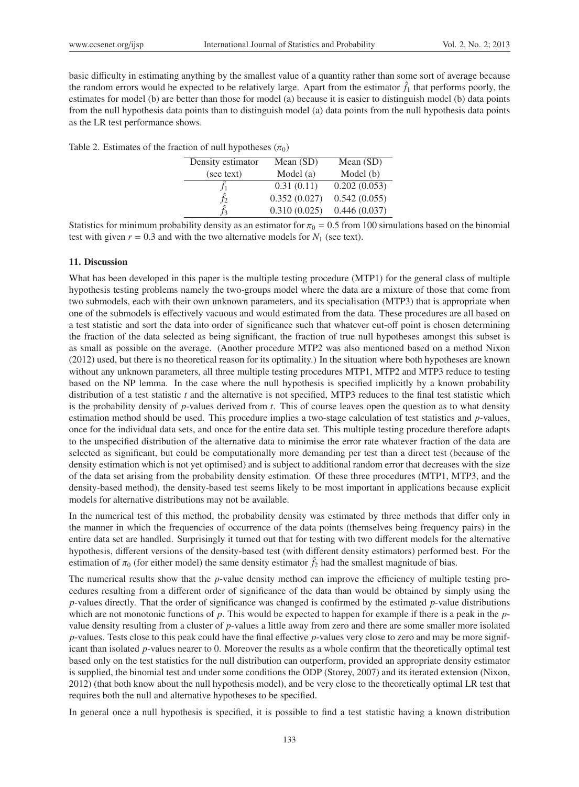basic difficulty in estimating anything by the smallest value of a quantity rather than some sort of average because the random errors would be expected to be relatively large. Apart from the estimator  $\hat{f}_1$  that performs poorly, the estimates for model (b) are better than those for model (a) because it is easier to distinguish model (b) data points from the null hypothesis data points than to distinguish model (a) data points from the null hypothesis data points as the LR test performance shows.

| Table 2. Estimates of the fraction of null hypotheses $(\pi_0)$ |  |  |  |  |
|-----------------------------------------------------------------|--|--|--|--|
|-----------------------------------------------------------------|--|--|--|--|

| Density estimator | Mean $(SD)$  | Mean $(SD)$  |
|-------------------|--------------|--------------|
| (see text)        | Model (a)    | Model (b)    |
|                   | 0.31(0.11)   | 0.202(0.053) |
|                   | 0.352(0.027) | 0.542(0.055) |
|                   | 0.310(0.025) | 0.446(0.037) |

Statistics for minimum probability density as an estimator for  $\pi_0 = 0.5$  from 100 simulations based on the binomial test with given  $r = 0.3$  and with the two alternative models for  $N_1$  (see text).

## 11. Discussion

What has been developed in this paper is the multiple testing procedure (MTP1) for the general class of multiple hypothesis testing problems namely the two-groups model where the data are a mixture of those that come from two submodels, each with their own unknown parameters, and its specialisation (MTP3) that is appropriate when one of the submodels is effectively vacuous and would estimated from the data. These procedures are all based on a test statistic and sort the data into order of significance such that whatever cut-off point is chosen determining the fraction of the data selected as being significant, the fraction of true null hypotheses amongst this subset is as small as possible on the average. (Another procedure MTP2 was also mentioned based on a method Nixon (2012) used, but there is no theoretical reason for its optimality.) In the situation where both hypotheses are known without any unknown parameters, all three multiple testing procedures MTP1, MTP2 and MTP3 reduce to testing based on the NP lemma. In the case where the null hypothesis is specified implicitly by a known probability distribution of a test statistic *t* and the alternative is not specified, MTP3 reduces to the final test statistic which is the probability density of *p*-values derived from *t*. This of course leaves open the question as to what density estimation method should be used. This procedure implies a two-stage calculation of test statistics and *p*-values, once for the individual data sets, and once for the entire data set. This multiple testing procedure therefore adapts to the unspecified distribution of the alternative data to minimise the error rate whatever fraction of the data are selected as significant, but could be computationally more demanding per test than a direct test (because of the density estimation which is not yet optimised) and is subject to additional random error that decreases with the size of the data set arising from the probability density estimation. Of these three procedures (MTP1, MTP3, and the density-based method), the density-based test seems likely to be most important in applications because explicit models for alternative distributions may not be available.

In the numerical test of this method, the probability density was estimated by three methods that differ only in the manner in which the frequencies of occurrence of the data points (themselves being frequency pairs) in the entire data set are handled. Surprisingly it turned out that for testing with two different models for the alternative hypothesis, different versions of the density-based test (with different density estimators) performed best. For the estimation of  $\pi_0$  (for either model) the same density estimator  $\hat{f}_2$  had the smallest magnitude of bias.

The numerical results show that the *p*-value density method can improve the efficiency of multiple testing procedures resulting from a different order of significance of the data than would be obtained by simply using the *p*-values directly. That the order of significance was changed is confirmed by the estimated *p*-value distributions which are not monotonic functions of *p*. This would be expected to happen for example if there is a peak in the *p*value density resulting from a cluster of *p*-values a little away from zero and there are some smaller more isolated *p*-values. Tests close to this peak could have the final effective *p*-values very close to zero and may be more significant than isolated *p*-values nearer to 0. Moreover the results as a whole confirm that the theoretically optimal test based only on the test statistics for the null distribution can outperform, provided an appropriate density estimator is supplied, the binomial test and under some conditions the ODP (Storey, 2007) and its iterated extension (Nixon, 2012) (that both know about the null hypothesis model), and be very close to the theoretically optimal LR test that requires both the null and alternative hypotheses to be specified.

In general once a null hypothesis is specified, it is possible to find a test statistic having a known distribution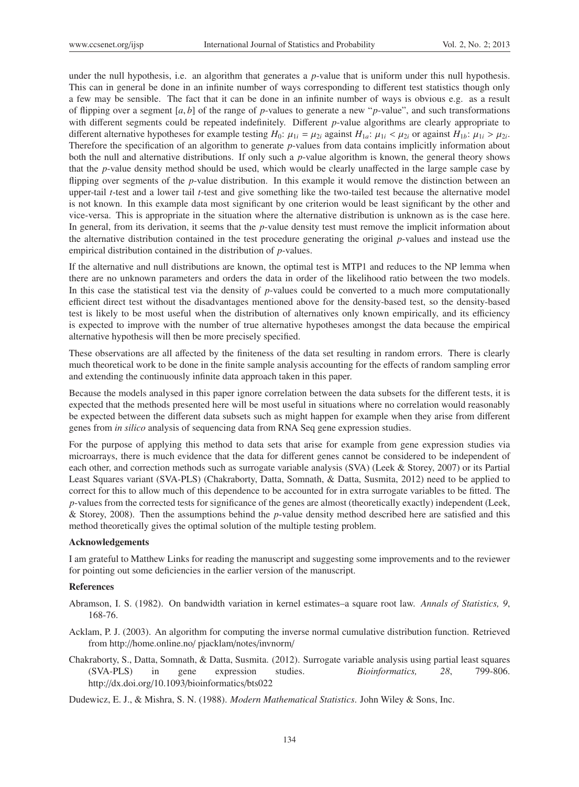under the null hypothesis, i.e. an algorithm that generates a *p*-value that is uniform under this null hypothesis. This can in general be done in an infinite number of ways corresponding to different test statistics though only a few may be sensible. The fact that it can be done in an infinite number of ways is obvious e.g. as a result of flipping over a segment  $[a, b]$  of the range of *p*-values to generate a new "*p*-value", and such transformations with different segments could be repeated indefinitely. Different *p*-value algorithms are clearly appropriate to different alternative hypotheses for example testing  $H_0$ :  $\mu_{1i} = \mu_{2i}$  against  $H_{1a}$ :  $\mu_{1i} < \mu_{2i}$  or against  $H_{1b}$ :  $\mu_{1i} > \mu_{2i}$ . Therefore the specification of an algorithm to generate *p*-values from data contains implicitly information about both the null and alternative distributions. If only such a *p*-value algorithm is known, the general theory shows that the *p*-value density method should be used, which would be clearly unaffected in the large sample case by flipping over segments of the *p*-value distribution. In this example it would remove the distinction between an upper-tail *t*-test and a lower tail *t*-test and give something like the two-tailed test because the alternative model is not known. In this example data most significant by one criterion would be least significant by the other and vice-versa. This is appropriate in the situation where the alternative distribution is unknown as is the case here. In general, from its derivation, it seems that the *p*-value density test must remove the implicit information about the alternative distribution contained in the test procedure generating the original *p*-values and instead use the empirical distribution contained in the distribution of *p*-values.

If the alternative and null distributions are known, the optimal test is MTP1 and reduces to the NP lemma when there are no unknown parameters and orders the data in order of the likelihood ratio between the two models. In this case the statistical test via the density of *p*-values could be converted to a much more computationally efficient direct test without the disadvantages mentioned above for the density-based test, so the density-based test is likely to be most useful when the distribution of alternatives only known empirically, and its efficiency is expected to improve with the number of true alternative hypotheses amongst the data because the empirical alternative hypothesis will then be more precisely specified.

These observations are all affected by the finiteness of the data set resulting in random errors. There is clearly much theoretical work to be done in the finite sample analysis accounting for the effects of random sampling error and extending the continuously infinite data approach taken in this paper.

Because the models analysed in this paper ignore correlation between the data subsets for the different tests, it is expected that the methods presented here will be most useful in situations where no correlation would reasonably be expected between the different data subsets such as might happen for example when they arise from different genes from *in silico* analysis of sequencing data from RNA Seq gene expression studies.

For the purpose of applying this method to data sets that arise for example from gene expression studies via microarrays, there is much evidence that the data for different genes cannot be considered to be independent of each other, and correction methods such as surrogate variable analysis (SVA) (Leek & Storey, 2007) or its Partial Least Squares variant (SVA-PLS) (Chakraborty, Datta, Somnath, & Datta, Susmita, 2012) need to be applied to correct for this to allow much of this dependence to be accounted for in extra surrogate variables to be fitted. The *p*-values from the corrected tests for significance of the genes are almost (theoretically exactly) independent (Leek, & Storey, 2008). Then the assumptions behind the *p*-value density method described here are satisfied and this method theoretically gives the optimal solution of the multiple testing problem.

#### Acknowledgements

I am grateful to Matthew Links for reading the manuscript and suggesting some improvements and to the reviewer for pointing out some deficiencies in the earlier version of the manuscript.

#### References

- Abramson, I. S. (1982). On bandwidth variation in kernel estimates–a square root law. *Annals of Statistics, 9*, 168-76.
- Acklam, P. J. (2003). An algorithm for computing the inverse normal cumulative distribution function. Retrieved from http://home.online.no/ pjacklam/notes/invnorm/
- Chakraborty, S., Datta, Somnath, & Datta, Susmita. (2012). Surrogate variable analysis using partial least squares (SVA-PLS) in gene expression studies. *Bioinformatics, 28*, 799-806. http://dx.doi.org/10.1093/bioinformatics/bts022

Dudewicz, E. J., & Mishra, S. N. (1988). *Modern Mathematical Statistics*. John Wiley & Sons, Inc.